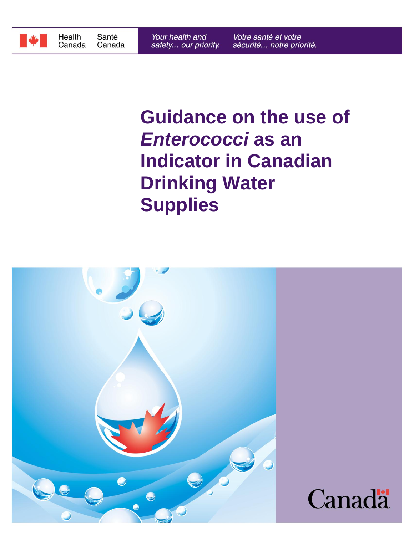

# **Supplies Drinking Water Indicator in Canadian** *Enterococci* **as an Guidance on the use of**

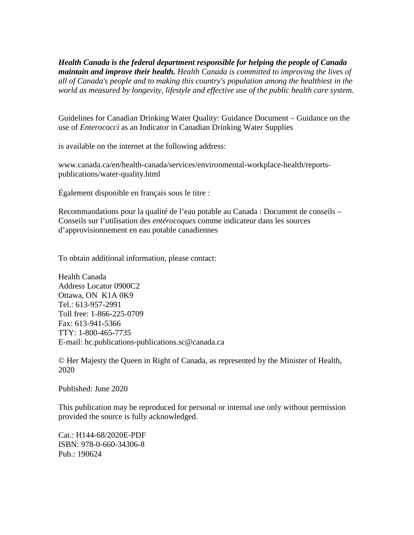*world as measured by longevity, lifestyle and effective use of the public health care system. all of Canada's people and to making this country's population among the healthiest in the maintain and improve their health. Health Canada is committed to improving the lives of Health Canada is the federal department responsible for helping the people of Canada*

use of *Enterococci* as an Indicator in Canadian Drinking Water Supplies Guidelines for Canadian Drinking Water Quality: Guidance Document – Guidance on the

is available on the internet at the following address:

publications/water-quality.html www.canada.ca/en/health-canada/services/environmental-workplace-health/reports-

Également disponible en français sous le titre :

d'approvisionnement en eau potable canadiennes Conseils sur l'utilisation des *entérocoques* comme indicateur dans les sources Recommandations pour la qualité de l'eau potable au Canada : Document de conseils –

To obtain additional information, please contact:

E-mail: hc.publications-publications.sc@canada.ca TTY: 1-800-465-7735 Fax: 613-941-5366 Toll free: 1-866-225-0709 Tel.: 613-957-2991 Ottawa, ON K1A 0K9 Address Locator 0900C2 Health Canada

2020 © Her Majesty the Queen in Right of Canada, as represented by the Minister of Health,

Published: June 2020

provided the source is fully acknowledged. This publication may be reproduced for personal or internal use only without permission

Pub.: 190624 ISBN: 978-0-660-34306-8 Cat.: H144-68/2020E-PDF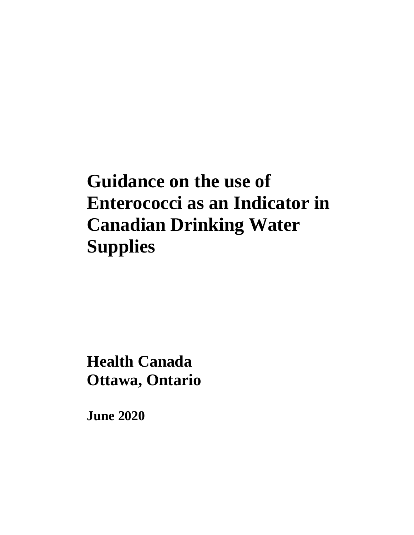# **Guidance on the use of Enterococci as an Indicator in Canadian Drinking Water Supplies**

**Ottawa, Ontario Health Canada**

**June 2020**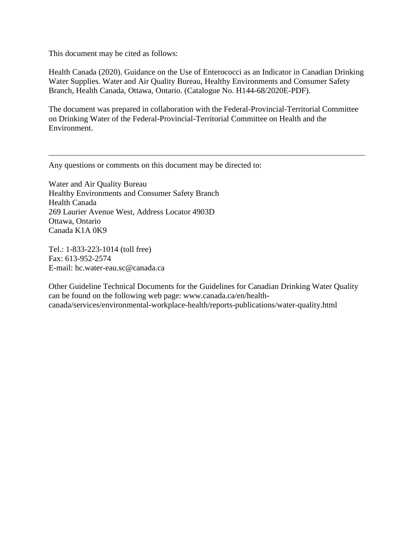This document may be cited as follows:

Health Canada (2020). Guidance on the Use of Enterococci as an Indicator in Canadian Drinking Water Supplies. Water and Air Quality Bureau, Healthy Environments and Consumer Safety Branch, Health Canada, Ottawa, Ontario. (Catalogue No. H144-68/2020E-PDF).

The document was prepared in collaboration with the Federal-Provincial-Territorial Committee on Drinking Water of the Federal-Provincial-Territorial Committee on Health and the Environment.

Any questions or comments on this document may be directed to:

Water and Air Quality Bureau Healthy Environments and Consumer Safety Branch Health Canada 269 Laurier Avenue West, Address Locator 4903D Ottawa, Ontario Canada K1A 0K9

Tel.: 1-833-223-1014 (toll free) Fax: 613-952-2574 E-mail: hc.water-eau.sc@canada.ca

Other Guideline Technical Documents for the Guidelines for Canadian Drinking Water Quality can be found on the following web page: www.canada.ca/en/healthcanada/services/environmental-workplace-health/reports-publications/water-quality.html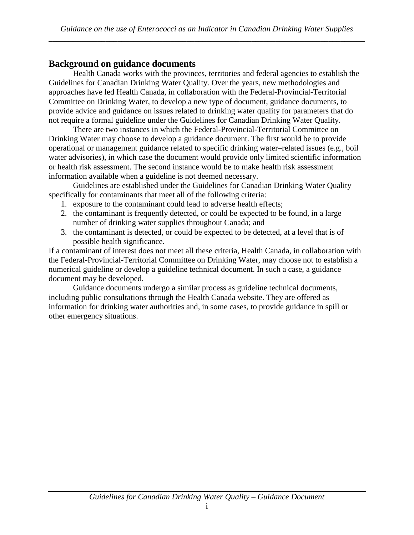# **Background on guidance documents**

Health Canada works with the provinces, territories and federal agencies to establish the Guidelines for Canadian Drinking Water Quality. Over the years, new methodologies and approaches have led Health Canada, in collaboration with the Federal-Provincial-Territorial Committee on Drinking Water, to develop a new type of document, guidance documents, to provide advice and guidance on issues related to drinking water quality for parameters that do not require a formal guideline under the Guidelines for Canadian Drinking Water Quality.

There are two instances in which the Federal-Provincial-Territorial Committee on Drinking Water may choose to develop a guidance document. The first would be to provide operational or management guidance related to specific drinking water–related issues (e.g., boil water advisories), in which case the document would provide only limited scientific information or health risk assessment. The second instance would be to make health risk assessment information available when a guideline is not deemed necessary.

Guidelines are established under the Guidelines for Canadian Drinking Water Quality specifically for contaminants that meet all of the following criteria:

- 1. exposure to the contaminant could lead to adverse health effects;
- 2. the contaminant is frequently detected, or could be expected to be found, in a large number of drinking water supplies throughout Canada; and
- 3. the contaminant is detected, or could be expected to be detected, at a level that is of possible health significance.

If a contaminant of interest does not meet all these criteria, Health Canada, in collaboration with the Federal-Provincial-Territorial Committee on Drinking Water, may choose not to establish a numerical guideline or develop a guideline technical document. In such a case, a guidance document may be developed.

Guidance documents undergo a similar process as guideline technical documents, including public consultations through the Health Canada website. They are offered as information for drinking water authorities and, in some cases, to provide guidance in spill or other emergency situations.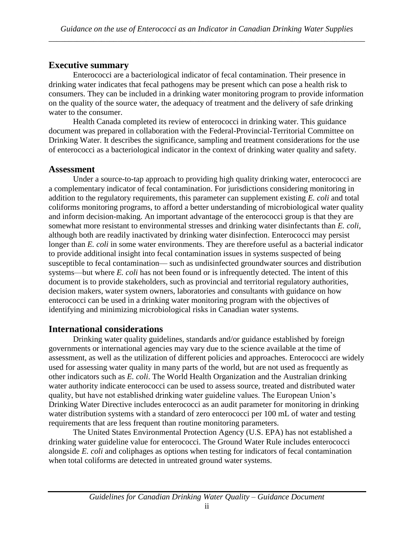# **Executive summary**

Enterococci are a bacteriological indicator of fecal contamination. Their presence in drinking water indicates that fecal pathogens may be present which can pose a health risk to consumers. They can be included in a drinking water monitoring program to provide information on the quality of the source water, the adequacy of treatment and the delivery of safe drinking water to the consumer.

Health Canada completed its review of enterococci in drinking water. This guidance document was prepared in collaboration with the Federal-Provincial-Territorial Committee on Drinking Water. It describes the significance, sampling and treatment considerations for the use of enterococci as a bacteriological indicator in the context of drinking water quality and safety.

#### **Assessment**

Under a source-to-tap approach to providing high quality drinking water, enterococci are a complementary indicator of fecal contamination. For jurisdictions considering monitoring in addition to the regulatory requirements, this parameter can supplement existing *E. coli* and total coliforms monitoring programs, to afford a better understanding of microbiological water quality and inform decision-making. An important advantage of the enterococci group is that they are somewhat more resistant to environmental stresses and drinking water disinfectants than *E. coli*, although both are readily inactivated by drinking water disinfection. Enterococci may persist longer than *E. coli* in some water environments. They are therefore useful as a bacterial indicator to provide additional insight into fecal contamination issues in systems suspected of being susceptible to fecal contamination— such as undisinfected groundwater sources and distribution systems—but where *E. coli* has not been found or is infrequently detected. The intent of this document is to provide stakeholders, such as provincial and territorial regulatory authorities, decision makers, water system owners, laboratories and consultants with guidance on how enterococci can be used in a drinking water monitoring program with the objectives of identifying and minimizing microbiological risks in Canadian water systems.

# **International considerations**

Drinking water quality guidelines, standards and/or guidance established by foreign governments or international agencies may vary due to the science available at the time of assessment, as well as the utilization of different policies and approaches. Enterococci are widely used for assessing water quality in many parts of the world, but are not used as frequently as other indicators such as *E. coli*. The World Health Organization and the Australian drinking water authority indicate enterococci can be used to assess source, treated and distributed water quality, but have not established drinking water guideline values. The European Union's Drinking Water Directive includes enterococci as an audit parameter for monitoring in drinking water distribution systems with a standard of zero enterococci per 100 mL of water and testing requirements that are less frequent than routine monitoring parameters.

The United States Environmental Protection Agency (U.S. EPA) has not established a drinking water guideline value for enterococci. The Ground Water Rule includes enterococci alongside *E. coli* and coliphages as options when testing for indicators of fecal contamination when total coliforms are detected in untreated ground water systems.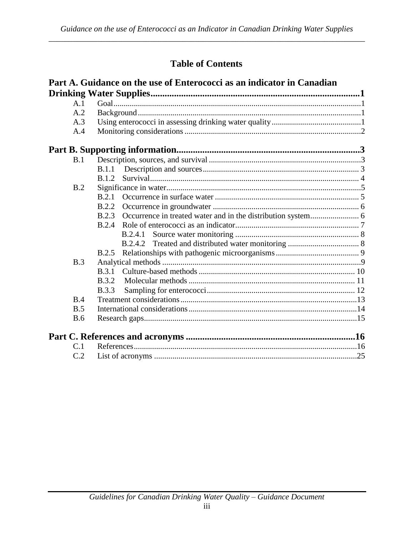# **Table of Contents**

|            | Part A. Guidance on the use of Enterococci as an indicator in Canadian |  |  |
|------------|------------------------------------------------------------------------|--|--|
|            |                                                                        |  |  |
| A.1        |                                                                        |  |  |
| A.2        |                                                                        |  |  |
| A.3        |                                                                        |  |  |
| A.4        |                                                                        |  |  |
|            |                                                                        |  |  |
| B.1        |                                                                        |  |  |
|            | B.1.1                                                                  |  |  |
|            | <b>B</b> 1.2                                                           |  |  |
| B.2        |                                                                        |  |  |
|            | B.2.1                                                                  |  |  |
|            | B.2.2                                                                  |  |  |
|            | B.2.3                                                                  |  |  |
|            | B.2.4                                                                  |  |  |
|            | <b>B.2.4.1</b>                                                         |  |  |
|            |                                                                        |  |  |
|            | <b>B.2.5</b>                                                           |  |  |
| B.3        |                                                                        |  |  |
|            | <b>B.3.1</b>                                                           |  |  |
|            | <b>B</b> 3.2                                                           |  |  |
|            | <b>B.3.3</b>                                                           |  |  |
| B.4        |                                                                        |  |  |
| B.5        |                                                                        |  |  |
| <b>B.6</b> |                                                                        |  |  |
|            |                                                                        |  |  |
| C.1        |                                                                        |  |  |
| C.2        |                                                                        |  |  |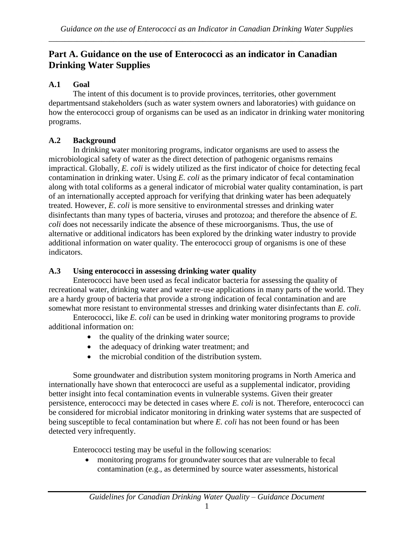# **Drinking Water Supplies Part A. Guidance on the use of Enterococci as an indicator in Canadian**

# **A.1 Goal**

programs. how the enterococci group of organisms can be used as an indicator in drinking water monitoring departmentsand stakeholders (such as water system owners and laboratories) with guidance on The intent of this document is to provide provinces, territories, other government

# **A.2 Background**

indicators. additional information on water quality. The enterococci group of organisms is one of these alternative or additional indicators has been explored by the drinking water industry to provide *coli* does not necessarily indicate the absence of these microorganisms. Thus, the use of disinfectants than many types of bacteria, viruses and protozoa; and therefore the absence of *E.* treated. However, *E. coli* is more sensitive to environmental stresses and drinking water of an internationally accepted approach for verifying that drinking water has been adequately along with total coliforms as a general indicator of microbial water quality contamination, is part contamination in drinking water. Using *E. coli* as the primary indicator of fecal contamination impractical. Globally, *E. coli* is widely utilized as the first indicator of choice for detecting fecal microbiological safety of water as the direct detection of pathogenic organisms remains In drinking water monitoring programs, indicator organisms are used to assess the

# **A.3 Using enterococci in assessing drinking water quality**

somewhat more resistant to environmental stresses and drinking water disinfectants than *E. coli*. are a hardy group of bacteria that provide a strong indication of fecal contamination and are recreational water, drinking water and water re-use applications in many parts of the world. They Enterococci have been used as fecal indicator bacteria for assessing the quality of

additional information on: Enterococci, like *E. coli* can be used in drinking water monitoring programs to provide

- $\bullet$  the quality of the drinking water source;
- the adequacy of drinking water treatment; and
- the microbial condition of the distribution system.

detected very infrequently. being susceptible to fecal contamination but where *E. coli* has not been found or has been be considered for microbial indicator monitoring in drinking water systems that are suspected of persistence, enterococci may be detected in cases where *E. coli* is not. Therefore, enterococci can better insight into fecal contamination events in vulnerable systems. Given their greater internationally have shown that enterococci are useful as a supplemental indicator, providing Some groundwater and distribution system monitoring programs in North America and

Enterococci testing may be useful in the following scenarios:

contamination (e.g., as determined by source water assessments, historical monitoring programs for groundwater sources that are vulnerable to fecal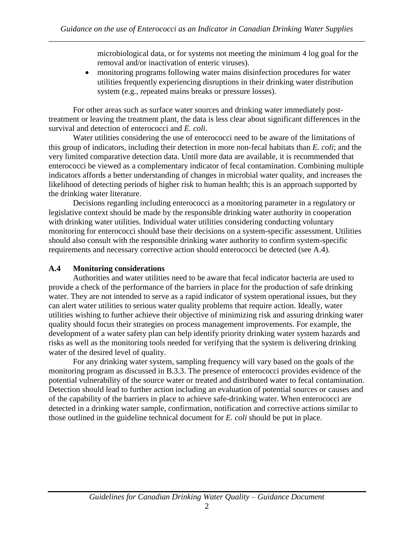microbiological data, or for systems not meeting the minimum 4 log goal for the removal and/or inactivation of enteric viruses).

• monitoring programs following water mains disinfection procedures for water utilities frequently experiencing disruptions in their drinking water distribution system (e.g., repeated mains breaks or pressure losses).

For other areas such as surface water sources and drinking water immediately posttreatment or leaving the treatment plant, the data is less clear about significant differences in the survival and detection of enterococci and *E. coli*.

Water utilities considering the use of enterococci need to be aware of the limitations of this group of indicators, including their detection in more non-fecal habitats than *E. coli*; and the very limited comparative detection data. Until more data are available, it is recommended that enterococci be viewed as a complementary indicator of fecal contamination. Combining multiple indicators affords a better understanding of changes in microbial water quality, and increases the likelihood of detecting periods of higher risk to human health; this is an approach supported by the drinking water literature.

Decisions regarding including enterococci as a monitoring parameter in a regulatory or legislative context should be made by the responsible drinking water authority in cooperation with drinking water utilities. Individual water utilities considering conducting voluntary monitoring for enterococci should base their decisions on a system-specific assessment. Utilities should also consult with the responsible drinking water authority to confirm system-specific requirements and necessary corrective action should enterococci be detected (see A.4).

#### **A.4 Monitoring considerations**

Authorities and water utilities need to be aware that fecal indicator bacteria are used to provide a check of the performance of the barriers in place for the production of safe drinking water. They are not intended to serve as a rapid indicator of system operational issues, but they can alert water utilities to serious water quality problems that require action. Ideally, water utilities wishing to further achieve their objective of minimizing risk and assuring drinking water quality should focus their strategies on process management improvements. For example, the development of a water safety plan can help identify priority drinking water system hazards and risks as well as the monitoring tools needed for verifying that the system is delivering drinking water of the desired level of quality.

For any drinking water system, sampling frequency will vary based on the goals of the monitoring program as discussed in B.3.3. The presence of enterococci provides evidence of the potential vulnerability of the source water or treated and distributed water to fecal contamination. Detection should lead to further action including an evaluation of potential sources or causes and of the capability of the barriers in place to achieve safe-drinking water. When enterococci are detected in a drinking water sample, confirmation, notification and corrective actions similar to those outlined in the guideline technical document for *E. coli* should be put in place.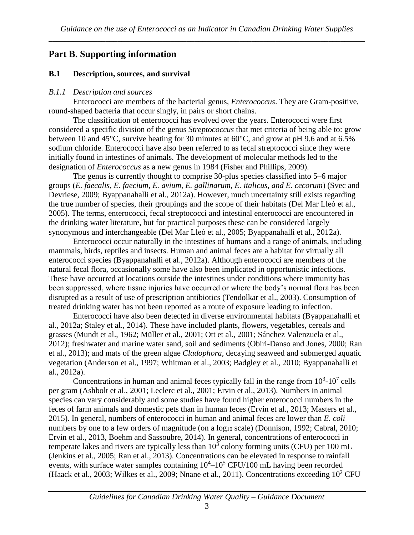# **Part B. Supporting information**

#### **B.1 Description, sources, and survival**

#### *B.1.1 Description and sources*

Enterococci are members of the bacterial genus, *Enterococcus*. They are Gram-positive, round-shaped bacteria that occur singly, in pairs or short chains.

The classification of enterococci has evolved over the years. Enterococci were first considered a specific division of the genus *Streptococcus* that met criteria of being able to: grow between 10 and 45°C, survive heating for 30 minutes at 60°C, and grow at pH 9.6 and at 6.5% sodium chloride. Enterococci have also been referred to as fecal streptococci since they were initially found in intestines of animals. The development of molecular methods led to the designation of *Enterococcus* as a new genus in 1984 (Fisher and Phillips, 2009).

The genus is currently thought to comprise 30-plus species classified into 5–6 major groups (*E. faecalis, E. faecium, E. avium, E. gallinarum, E. italicus, and E. cecorum*) (Svec and Devriese, 2009; Byappanahalli et al., 2012a). However, much uncertainty still exists regarding the true number of species, their groupings and the scope of their habitats (Del Mar Lleò et al., 2005). The terms, enterococci, fecal streptococci and intestinal enterococci are encountered in the drinking water literature, but for practical purposes these can be considered largely synonymous and interchangeable (Del Mar Lleò et al., 2005; Byappanahalli et al., 2012a).

Enterococci occur naturally in the intestines of humans and a range of animals, including mammals, birds, reptiles and insects. Human and animal feces are a habitat for virtually all enterococci species (Byappanahalli et al., 2012a). Although enterococci are members of the natural fecal flora, occasionally some have also been implicated in opportunistic infections. These have occurred at locations outside the intestines under conditions where immunity has been suppressed, where tissue injuries have occurred or where the body's normal flora has been disrupted as a result of use of prescription antibiotics (Tendolkar et al., 2003). Consumption of treated drinking water has not been reported as a route of exposure leading to infection.

Enterococci have also been detected in diverse environmental habitats (Byappanahalli et al., 2012a; Staley et al., 2014). These have included plants, flowers, vegetables, cereals and grasses (Mundt et al., 1962; Müller et al., 2001; Ott et al., 2001; Sánchez Valenzuela et al., 2012); freshwater and marine water sand, soil and sediments (Obiri-Danso and Jones, 2000; Ran et al., 2013); and mats of the green algae *Cladophora,* decaying seaweed and submerged aquatic vegetation (Anderson et al., 1997; Whitman et al., 2003; Badgley et al., 2010; Byappanahalli et al., 2012a).

Concentrations in human and animal feces typically fall in the range from  $10^3$ - $10^7$  cells per gram (Ashbolt et al., 2001; Leclerc et al., 2001; Ervin et al., 2013). Numbers in animal species can vary considerably and some studies have found higher enterococci numbers in the feces of farm animals and domestic pets than in human feces (Ervin et al., 2013; Masters et al., 2015). In general, numbers of enterococci in human and animal feces are lower than *E. coli* numbers by one to a few orders of magnitude (on a  $log_{10}$  scale) (Donnison, 1992; Cabral, 2010; Ervin et al., 2013, Boehm and Sassoubre, 2014). In general, concentrations of enterococci in temperate lakes and rivers are typically less than  $10^3$  colony forming units (CFU) per 100 mL (Jenkins et al., 2005; Ran et al., 2013). Concentrations can be elevated in response to rainfall events, with surface water samples containing  $10^4 - 10^5$  CFU/100 mL having been recorded (Haack et al., 2003; Wilkes et al., 2009; Nnane et al., 2011). Concentrations exceeding  $10^2$  CFU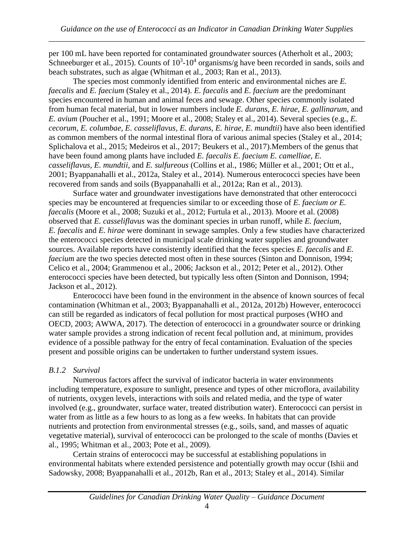per 100 mL have been reported for contaminated groundwater sources (Atherholt et al., 2003; Schneeburger et al., 2015). Counts of  $10^3$ -10<sup>4</sup> organisms/g have been recorded in sands, soils and beach substrates, such as algae (Whitman et al., 2003; Ran et al., 2013).

The species most commonly identified from enteric and environmental niches are *E. faecalis* and *E. faecium* (Staley et al., 2014). *E. faecalis* and *E. faecium* are the predominant species encountered in human and animal feces and sewage. Other species commonly isolated from human fecal material, but in lower numbers include *E. durans*, *E. hirae*, *E. gallinarum*, and *E. avium* (Poucher et al., 1991; Moore et al., 2008; Staley et al., 2014). Several species (e.g., *E. cecorum, E. columbae, E. casseliflavus, E. durans*, *E. hirae*, *E. mundtii*) have also been identified as common members of the normal intestinal flora of various animal species (Staley et al., 2014; Splichalova et al., 2015; Medeiros et al., 2017; Beukers et al., 2017).Members of the genus that have been found among plants have included *E. faecalis E. faecium E. camelliae*, *E. casseliflavus*, *E. mundtii,* and *E. sulfureous* (Collins et al., 1986; Müller et al., 2001; Ott et al., 2001; Byappanahalli et al., 2012a, Staley et al., 2014). Numerous enterococci species have been recovered from sands and soils (Byappanahalli et al., 2012a; Ran et al., 2013).

Surface water and groundwater investigations have demonstrated that other enterococci species may be encountered at frequencies similar to or exceeding those of *E. faecium or E. faecalis* (Moore et al., 2008; Suzuki et al., 2012; Furtula et al., 2013). Moore et al. (2008) observed that *E. casseliflavus* was the dominant species in urban runoff, while *E. faecium*, *E. faecalis* and *E. hirae* were dominant in sewage samples. Only a few studies have characterized the enterococci species detected in municipal scale drinking water supplies and groundwater sources. Available reports have consistently identified that the feces species *E. faecalis* and *E. faecium* are the two species detected most often in these sources (Sinton and Donnison, 1994; Celico et al., 2004; Grammenou et al., 2006; Jackson et al., 2012; Peter et al., 2012). Other enterococci species have been detected, but typically less often (Sinton and Donnison, 1994; Jackson et al., 2012).

Enterococci have been found in the environment in the absence of known sources of fecal contamination (Whitman et al., 2003; Byappanahalli et al., 2012a, 2012b) However, enterococci can still be regarded as indicators of fecal pollution for most practical purposes (WHO and OECD, 2003; AWWA, 2017). The detection of enterococci in a groundwater source or drinking water sample provides a strong indication of recent fecal pollution and, at minimum, provides evidence of a possible pathway for the entry of fecal contamination. Evaluation of the species present and possible origins can be undertaken to further understand system issues.

## *B.1.2 Survival*

Numerous factors affect the survival of indicator bacteria in water environments including temperature, exposure to sunlight, presence and types of other microflora, availability of nutrients, oxygen levels, interactions with soils and related media, and the type of water involved (e.g., groundwater, surface water, treated distribution water). Enterococci can persist in water from as little as a few hours to as long as a few weeks. In habitats that can provide nutrients and protection from environmental stresses (e.g., soils, sand, and masses of aquatic vegetative material), survival of enterococci can be prolonged to the scale of months (Davies et al., 1995; Whitman et al., 2003; Pote et al., 2009).

Certain strains of enterococci may be successful at establishing populations in environmental habitats where extended persistence and potentially growth may occur (Ishii and Sadowsky, 2008; Byappanahalli et al., 2012b, Ran et al., 2013; Staley et al., 2014). Similar

## *Guidelines for Canadian Drinking Water Quality – Guidance Document*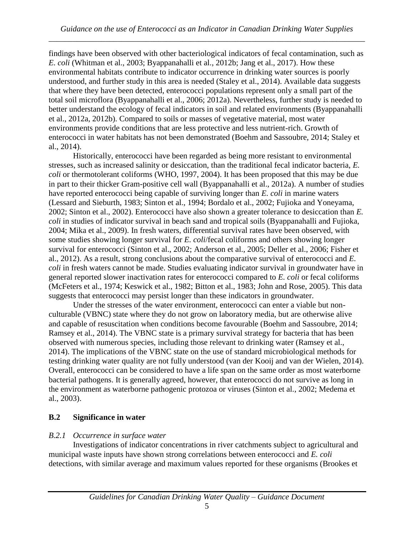findings have been observed with other bacteriological indicators of fecal contamination, such as *E. coli* (Whitman et al., 2003; Byappanahalli et al., 2012b; Jang et al., 2017). How these environmental habitats contribute to indicator occurrence in drinking water sources is poorly understood, and further study in this area is needed (Staley et al., 2014). Available data suggests that where they have been detected, enterococci populations represent only a small part of the total soil microflora (Byappanahalli et al., 2006; 2012a). Nevertheless, further study is needed to better understand the ecology of fecal indicators in soil and related environments (Byappanahalli et al., 2012a, 2012b). Compared to soils or masses of vegetative material, most water environments provide conditions that are less protective and less nutrient-rich. Growth of enterococci in water habitats has not been demonstrated (Boehm and Sassoubre, 2014; Staley et al., 2014).

Historically, enterococci have been regarded as being more resistant to environmental stresses, such as increased salinity or desiccation, than the traditional fecal indicator bacteria, *E. coli* or thermotolerant coliforms (WHO, 1997, 2004). It has been proposed that this may be due in part to their thicker Gram-positive cell wall (Byappanahalli et al., 2012a). A number of studies have reported enterococci being capable of surviving longer than *E. coli* in marine waters (Lessard and Sieburth, 1983; Sinton et al., 1994; Bordalo et al., 2002; Fujioka and Yoneyama, 2002; Sinton et al., 2002). Enterococci have also shown a greater tolerance to desiccation than *E. coli* in studies of indicator survival in beach sand and tropical soils (Byappanahalli and Fujioka, 2004; Mika et al., 2009). In fresh waters, differential survival rates have been observed, with some studies showing longer survival for *E. coli*/fecal coliforms and others showing longer survival for enterococci (Sinton et al., 2002; Anderson et al., 2005; Deller et al., 2006; Fisher et al., 2012). As a result, strong conclusions about the comparative survival of enterococci and *E. coli* in fresh waters cannot be made. Studies evaluating indicator survival in groundwater have in general reported slower inactivation rates for enterococci compared to *E. coli* or fecal coliforms (McFeters et al., 1974; Keswick et al., 1982; Bitton et al., 1983; John and Rose, 2005). This data suggests that enterococci may persist longer than these indicators in groundwater.

Under the stresses of the water environment, enterococci can enter a viable but nonculturable (VBNC) state where they do not grow on laboratory media, but are otherwise alive and capable of resuscitation when conditions become favourable (Boehm and Sassoubre, 2014; Ramsey et al., 2014). The VBNC state is a primary survival strategy for bacteria that has been observed with numerous species, including those relevant to drinking water (Ramsey et al., 2014). The implications of the VBNC state on the use of standard microbiological methods for testing drinking water quality are not fully understood (van der Kooij and van der Wielen, 2014). Overall, enterococci can be considered to have a life span on the same order as most waterborne bacterial pathogens. It is generally agreed, however, that enterococci do not survive as long in the environment as waterborne pathogenic protozoa or viruses (Sinton et al., 2002; Medema et al., 2003).

#### **B.2 Significance in water**

#### *B.2.1 Occurrence in surface water*

Investigations of indicator concentrations in river catchments subject to agricultural and municipal waste inputs have shown strong correlations between enterococci and *E. coli* detections, with similar average and maximum values reported for these organisms (Brookes et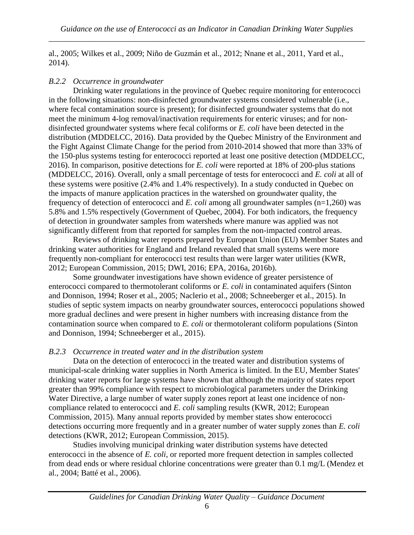al., 2005; Wilkes et al., 2009; Niño de Guzmán et al., 2012; Nnane et al., 2011, Yard et al., 2014).

#### *B.2.2 Occurrence in groundwater*

Drinking water regulations in the province of Quebec require monitoring for enterococci in the following situations: non-disinfected groundwater systems considered vulnerable (i.e., where fecal contamination source is present); for disinfected groundwater systems that do not meet the minimum 4-log removal/inactivation requirements for enteric viruses; and for nondisinfected groundwater systems where fecal coliforms or *E. coli* have been detected in the distribution (MDDELCC, 2016). Data provided by the Quebec Ministry of the Environment and the Fight Against Climate Change for the period from 2010-2014 showed that more than 33% of the 150-plus systems testing for enterococci reported at least one positive detection (MDDELCC, 2016). In comparison, positive detections for *E. coli* were reported at 18% of 200-plus stations (MDDELCC, 2016). Overall, only a small percentage of tests for enterococci and *E. coli* at all of these systems were positive (2.4% and 1.4% respectively). In a study conducted in Quebec on the impacts of manure application practices in the watershed on groundwater quality, the frequency of detection of enterococci and *E. coli* among all groundwater samples (n=1,260) was 5.8% and 1.5% respectively (Government of Quebec, 2004). For both indicators, the frequency of detection in groundwater samples from watersheds where manure was applied was not significantly different from that reported for samples from the non-impacted control areas.

Reviews of drinking water reports prepared by European Union (EU) Member States and drinking water authorities for England and Ireland revealed that small systems were more frequently non-compliant for enterococci test results than were larger water utilities (KWR, 2012; European Commission, 2015; DWI, 2016; EPA, 2016a, 2016b).

Some groundwater investigations have shown evidence of greater persistence of enterococci compared to thermotolerant coliforms or *E. coli* in contaminated aquifers (Sinton and Donnison, 1994; Roser et al., 2005; Naclerio et al., 2008; Schneeberger et al., 2015). In studies of septic system impacts on nearby groundwater sources, enterococci populations showed more gradual declines and were present in higher numbers with increasing distance from the contamination source when compared to *E. coli* or thermotolerant coliform populations (Sinton and Donnison, 1994; Schneeberger et al., 2015).

#### *B.2.3 Occurrence in treated water and in the distribution system*

Data on the detection of enterococci in the treated water and distribution systems of municipal-scale drinking water supplies in North America is limited. In the EU, Member States' drinking water reports for large systems have shown that although the majority of states report greater than 99% compliance with respect to microbiological parameters under the Drinking Water Directive, a large number of water supply zones report at least one incidence of noncompliance related to enterococci and *E. coli* sampling results (KWR, 2012; European Commission, 2015). Many annual reports provided by member states show enterococci detections occurring more frequently and in a greater number of water supply zones than *E. coli* detections (KWR, 2012; European Commission, 2015).

Studies involving municipal drinking water distribution systems have detected enterococci in the absence of *E. coli*, or reported more frequent detection in samples collected from dead ends or where residual chlorine concentrations were greater than 0.1 mg/L (Mendez et al., 2004; Batté et al., 2006).

# *Guidelines for Canadian Drinking Water Quality – Guidance Document*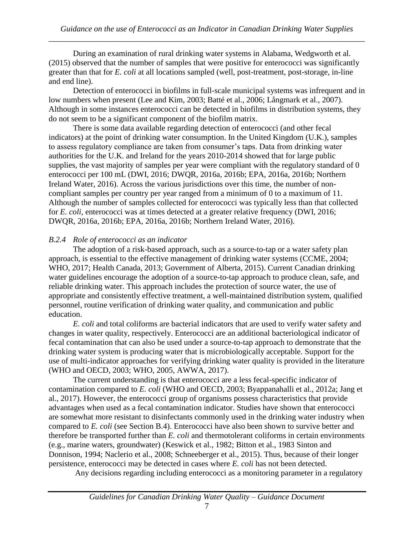During an examination of rural drinking water systems in Alabama, Wedgworth et al. (2015) observed that the number of samples that were positive for enterococci was significantly greater than that for *E. coli* at all locations sampled (well, post-treatment, post-storage, in-line and end line).

Detection of enterococci in biofilms in full-scale municipal systems was infrequent and in low numbers when present (Lee and Kim, 2003; Batté et al., 2006; Långmark et al., 2007). Although in some instances enterococci can be detected in biofilms in distribution systems, they do not seem to be a significant component of the biofilm matrix.

There is some data available regarding detection of enterococci (and other fecal indicators) at the point of drinking water consumption. In the United Kingdom (U.K.), samples to assess regulatory compliance are taken from consumer's taps. Data from drinking water authorities for the U.K. and Ireland for the years 2010-2014 showed that for large public supplies, the vast majority of samples per year were compliant with the regulatory standard of 0 enterococci per 100 mL (DWI, 2016; DWQR, 2016a, 2016b; EPA, 2016a, 2016b; Northern Ireland Water, 2016). Across the various jurisdictions over this time, the number of noncompliant samples per country per year ranged from a minimum of 0 to a maximum of 11. Although the number of samples collected for enterococci was typically less than that collected for *E. coli*, enterococci was at times detected at a greater relative frequency (DWI, 2016; DWQR, 2016a, 2016b; EPA, 2016a, 2016b; Northern Ireland Water, 2016).

#### *B.2.4 Role of enterococci as an indicator*

The adoption of a risk-based approach, such as a source-to-tap or a water safety plan approach, is essential to the effective management of drinking water systems (CCME, 2004; WHO, 2017; Health Canada, 2013; Government of Alberta, 2015). Current Canadian drinking water guidelines encourage the adoption of a source-to-tap approach to produce clean, safe, and reliable drinking water. This approach includes the protection of source water, the use of appropriate and consistently effective treatment, a well-maintained distribution system, qualified personnel, routine verification of drinking water quality, and communication and public education.

*E. coli* and total coliforms are bacterial indicators that are used to verify water safety and changes in water quality, respectively. Enterococci are an additional bacteriological indicator of fecal contamination that can also be used under a source-to-tap approach to demonstrate that the drinking water system is producing water that is microbiologically acceptable. Support for the use of multi-indicator approaches for verifying drinking water quality is provided in the literature (WHO and OECD, 2003; WHO, 2005, AWWA, 2017).

The current understanding is that enterococci are a less fecal-specific indicator of contamination compared to *E. coli* (WHO and OECD, 2003; Byappanahalli et al., 2012a; Jang et al., 2017). However, the enterococci group of organisms possess characteristics that provide advantages when used as a fecal contamination indicator. Studies have shown that enterococci are somewhat more resistant to disinfectants commonly used in the drinking water industry when compared to *E. coli* (see Section B.4). Enterococci have also been shown to survive better and therefore be transported further than *E. coli* and thermotolerant coliforms in certain environments (e.g., marine waters, groundwater) (Keswick et al., 1982; Bitton et al., 1983 Sinton and Donnison, 1994; Naclerio et al., 2008; Schneeberger et al., 2015). Thus, because of their longer persistence, enterococci may be detected in cases where *E. coli* has not been detected.

Any decisions regarding including enterococci as a monitoring parameter in a regulatory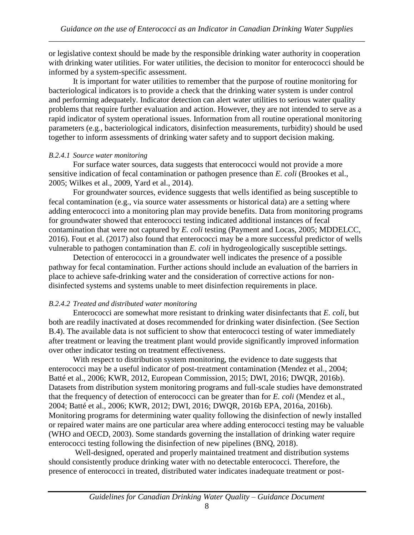or legislative context should be made by the responsible drinking water authority in cooperation with drinking water utilities. For water utilities, the decision to monitor for enterococci should be informed by a system-specific assessment.

It is important for water utilities to remember that the purpose of routine monitoring for bacteriological indicators is to provide a check that the drinking water system is under control and performing adequately. Indicator detection can alert water utilities to serious water quality problems that require further evaluation and action. However, they are not intended to serve as a rapid indicator of system operational issues. Information from all routine operational monitoring parameters (e.g., bacteriological indicators, disinfection measurements, turbidity) should be used together to inform assessments of drinking water safety and to support decision making.

#### *B.2.4.1 Source water monitoring*

For surface water sources, data suggests that enterococci would not provide a more sensitive indication of fecal contamination or pathogen presence than *E. coli* (Brookes et al., 2005; Wilkes et al., 2009, Yard et al., 2014).

For groundwater sources, evidence suggests that wells identified as being susceptible to fecal contamination (e.g., via source water assessments or historical data) are a setting where adding enterococci into a monitoring plan may provide benefits. Data from monitoring programs for groundwater showed that enterococci testing indicated additional instances of fecal contamination that were not captured by *E. coli* testing (Payment and Locas, 2005; MDDELCC, 2016). Fout et al. (2017) also found that enterococci may be a more successful predictor of wells vulnerable to pathogen contamination than *E. coli* in hydrogeologically susceptible settings.

Detection of enterococci in a groundwater well indicates the presence of a possible pathway for fecal contamination. Further actions should include an evaluation of the barriers in place to achieve safe-drinking water and the consideration of corrective actions for nondisinfected systems and systems unable to meet disinfection requirements in place.

#### *B.2.4.2 Treated and distributed water monitoring*

Enterococci are somewhat more resistant to drinking water disinfectants that *E. coli*, but both are readily inactivated at doses recommended for drinking water disinfection. (See Section B.4). The available data is not sufficient to show that enterococci testing of water immediately after treatment or leaving the treatment plant would provide significantly improved information over other indicator testing on treatment effectiveness.

With respect to distribution system monitoring, the evidence to date suggests that enterococci may be a useful indicator of post-treatment contamination (Mendez et al., 2004; Batté et al., 2006; KWR, 2012, European Commission, 2015; DWI, 2016; DWQR, 2016b). Datasets from distribution system monitoring programs and full-scale studies have demonstrated that the frequency of detection of enterococci can be greater than for *E. coli* (Mendez et al., 2004; Batté et al., 2006; KWR, 2012; DWI, 2016; DWQR, 2016b EPA, 2016a, 2016b). Monitoring programs for determining water quality following the disinfection of newly installed or repaired water mains are one particular area where adding enterococci testing may be valuable (WHO and OECD, 2003). Some standards governing the installation of drinking water require enterococci testing following the disinfection of new pipelines (BNQ, 2018).

Well-designed, operated and properly maintained treatment and distribution systems should consistently produce drinking water with no detectable enterococci. Therefore, the presence of enterococci in treated, distributed water indicates inadequate treatment or post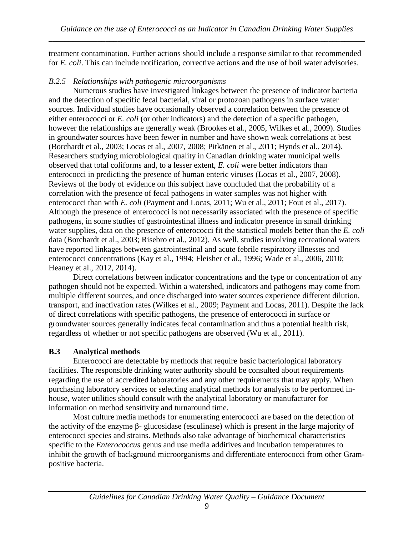treatment contamination. Further actions should include a response similar to that recommended for *E. coli*. This can include notification, corrective actions and the use of boil water advisories.

## *B.2.5 Relationships with pathogenic microorganisms*

Numerous studies have investigated linkages between the presence of indicator bacteria and the detection of specific fecal bacterial, viral or protozoan pathogens in surface water sources. Individual studies have occasionally observed a correlation between the presence of either enterococci or *E. coli* (or other indicators) and the detection of a specific pathogen, however the relationships are generally weak (Brookes et al., 2005, Wilkes et al., 2009). Studies in groundwater sources have been fewer in number and have shown weak correlations at best (Borchardt et al., 2003; Locas et al., 2007, 2008; Pitkänen et al., 2011; Hynds et al., 2014). Researchers studying microbiological quality in Canadian drinking water municipal wells observed that total coliforms and, to a lesser extent, *E. coli* were better indicators than enterococci in predicting the presence of human enteric viruses (Locas et al., 2007, 2008). Reviews of the body of evidence on this subject have concluded that the probability of a correlation with the presence of fecal pathogens in water samples was not higher with enterococci than with *E. coli* (Payment and Locas, 2011; Wu et al., 2011; Fout et al., 2017). Although the presence of enterococci is not necessarily associated with the presence of specific pathogens, in some studies of gastrointestinal illness and indicator presence in small drinking water supplies, data on the presence of enterococci fit the statistical models better than the *E. coli* data (Borchardt et al., 2003; Risebro et al., 2012). As well, studies involving recreational waters have reported linkages between gastrointestinal and acute febrile respiratory illnesses and enterococci concentrations (Kay et al., 1994; Fleisher et al., 1996; Wade et al., 2006, 2010; Heaney et al., 2012, 2014).

Direct correlations between indicator concentrations and the type or concentration of any pathogen should not be expected. Within a watershed, indicators and pathogens may come from multiple different sources, and once discharged into water sources experience different dilution, transport, and inactivation rates (Wilkes et al., 2009; Payment and Locas, 2011). Despite the lack of direct correlations with specific pathogens, the presence of enterococci in surface or groundwater sources generally indicates fecal contamination and thus a potential health risk, regardless of whether or not specific pathogens are observed (Wu et al., 2011).

# **B.3 Analytical methods**

Enterococci are detectable by methods that require basic bacteriological laboratory facilities. The responsible drinking water authority should be consulted about requirements regarding the use of accredited laboratories and any other requirements that may apply. When purchasing laboratory services or selecting analytical methods for analysis to be performed inhouse, water utilities should consult with the analytical laboratory or manufacturer for information on method sensitivity and turnaround time.

Most culture media methods for enumerating enterococci are based on the detection of the activity of the enzyme β- glucosidase (esculinase) which is present in the large majority of enterococci species and strains. Methods also take advantage of biochemical characteristics specific to the *Enterococcus* genus and use media additives and incubation temperatures to inhibit the growth of background microorganisms and differentiate enterococci from other Grampositive bacteria.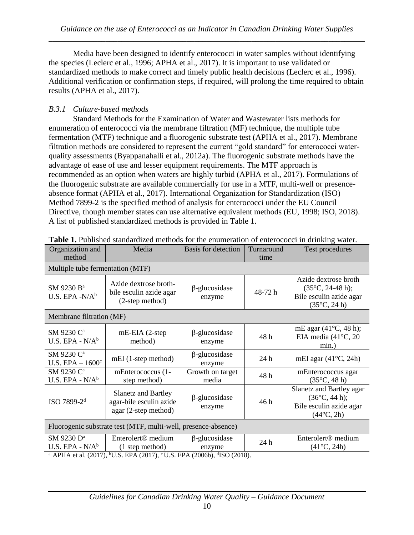Media have been designed to identify enterococci in water samples without identifying the species (Leclerc et al., 1996; APHA et al., 2017). It is important to use validated or standardized methods to make correct and timely public health decisions (Leclerc et al., 1996). Additional verification or confirmation steps, if required, will prolong the time required to obtain results (APHA et al., 2017).

# *B.3.1 Culture-based methods*

Standard Methods for the Examination of Water and Wastewater lists methods for enumeration of enterococci via the membrane filtration (MF) technique, the multiple tube fermentation (MTF) technique and a fluorogenic substrate test (APHA et al., 2017). Membrane filtration methods are considered to represent the current "gold standard" for enterococci waterquality assessments (Byappanahalli et al., 2012a). The fluorogenic substrate methods have the advantage of ease of use and lesser equipment requirements. The MTF approach is recommended as an option when waters are highly turbid (APHA et al., 2017). Formulations of the fluorogenic substrate are available commercially for use in a MTF, multi-well or presenceabsence format (APHA et al., 2017). International Organization for Standardization (ISO) Method 7899-2 is the specified method of analysis for enterococci under the EU Council Directive, though member states can use alternative equivalent methods (EU, 1998; ISO, 2018). A list of published standardized methods is provided in Table 1.

| Organization and<br>method                                                                                    | Media                                                                         | Basis for detection            | Turnaround<br>time | Test procedures                                                                                      |  |
|---------------------------------------------------------------------------------------------------------------|-------------------------------------------------------------------------------|--------------------------------|--------------------|------------------------------------------------------------------------------------------------------|--|
| Multiple tube fermentation (MTF)                                                                              |                                                                               |                                |                    |                                                                                                      |  |
| SM 9230 B <sup>a</sup><br>U.S. EPA $-N/A^b$                                                                   | Azide dextrose broth-<br>bile esculin azide agar<br>(2-step method)           | $\beta$ -glucosidase<br>enzyme | 48-72 h            | Azide dextrose broth<br>$(35^{\circ}C, 24-48 h);$<br>Bile esculin azide agar<br>$(35^{\circ}C, 24h)$ |  |
| Membrane filtration (MF)                                                                                      |                                                                               |                                |                    |                                                                                                      |  |
| SM 9230 C <sup>a</sup><br>U.S. EPA - $N/Ab$                                                                   | $mE$ -EIA (2-step<br>method)                                                  | $\beta$ -glucosidase<br>enzyme | 48 h               | mE agar $(41^{\circ}C, 48$ h);<br>EIA media $(41^{\circ}C, 20)$<br>$min.$ )                          |  |
| SM 9230 C <sup>a</sup><br>U.S. $EPA - 1600^c$                                                                 | mEI (1-step method)                                                           | $\beta$ -glucosidase<br>enzyme | 24 h               | mEI agar $(41^{\circ}C, 24h)$                                                                        |  |
| SM 9230 C <sup>a</sup><br>U.S. EPA - $N/A^b$                                                                  | mEnterococcus (1-<br>step method)                                             | Growth on target<br>media      | 48h                | mEnterococcus agar<br>$(35^{\circ}C, 48h)$                                                           |  |
| ISO 7899-2 <sup>d</sup>                                                                                       | <b>Slanetz and Bartley</b><br>agar-bile esculin azide<br>agar (2-step method) | $\beta$ -glucosidase<br>enzyme | 46 h               | Slanetz and Bartley agar<br>$(36^{\circ}C, 44 h);$<br>Bile esculin azide agar<br>$(44^{\circ}C, 2h)$ |  |
| Fluorogenic substrate test (MTF, multi-well, presence-absence)                                                |                                                                               |                                |                    |                                                                                                      |  |
| SM 9230 D <sup>a</sup><br>U.S. EPA - $N/A^b$                                                                  | Enterolert <sup>®</sup> medium<br>$(1$ step method)                           | $\beta$ -glucosidase<br>enzyme | 24 h               | Enterolert <sup>®</sup> medium<br>$(41^{\circ}C, 24h)$                                               |  |
| <sup>b</sup> U.S. EPA (2017), °U.S. EPA (2006b), <sup>d</sup> ISO (2018).<br><sup>a</sup> APHA et al. (2017), |                                                                               |                                |                    |                                                                                                      |  |

**Table 1.** Published standardized methods for the enumeration of enterococci in drinking water.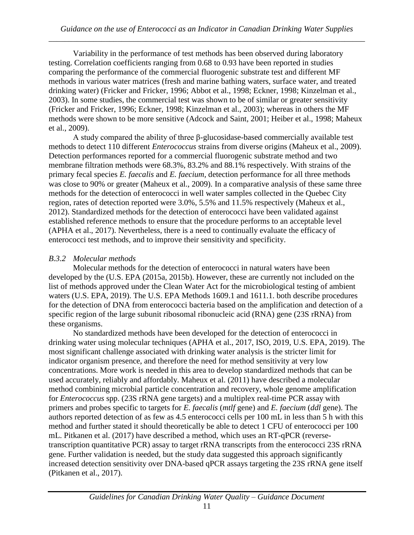Variability in the performance of test methods has been observed during laboratory testing. Correlation coefficients ranging from 0.68 to 0.93 have been reported in studies comparing the performance of the commercial fluorogenic substrate test and different MF methods in various water matrices (fresh and marine bathing waters, surface water, and treated drinking water) (Fricker and Fricker, 1996; Abbot et al., 1998; Eckner, 1998; Kinzelman et al., 2003). In some studies, the commercial test was shown to be of similar or greater sensitivity (Fricker and Fricker, 1996; Eckner, 1998; Kinzelman et al., 2003); whereas in others the MF methods were shown to be more sensitive (Adcock and Saint, 2001; Heiber et al., 1998; Maheux et al., 2009).

A study compared the ability of three β-glucosidase-based commercially available test methods to detect 110 different *Enterococcus* strains from diverse origins (Maheux et al., 2009). Detection performances reported for a commercial fluorogenic substrate method and two membrane filtration methods were 68.3%, 83.2% and 88.1% respectively. With strains of the primary fecal species *E. faecalis* and *E. faecium,* detection performance for all three methods was close to 90% or greater (Maheux et al., 2009). In a comparative analysis of these same three methods for the detection of enterococci in well water samples collected in the Quebec City region, rates of detection reported were 3.0%, 5.5% and 11.5% respectively (Maheux et al., 2012). Standardized methods for the detection of enterococci have been validated against established reference methods to ensure that the procedure performs to an acceptable level (APHA et al., 2017). Nevertheless, there is a need to continually evaluate the efficacy of enterococci test methods, and to improve their sensitivity and specificity.

#### *B.3.2 Molecular methods*

Molecular methods for the detection of enterococci in natural waters have been developed by the (U.S. EPA (2015a, 2015b). However, these are currently not included on the list of methods approved under the Clean Water Act for the microbiological testing of ambient waters (U.S. EPA, 2019). The U.S. EPA Methods 1609.1 and 1611.1. both describe procedures for the detection of DNA from enterococci bacteria based on the amplification and detection of a specific region of the large subunit ribosomal ribonucleic acid (RNA) gene (23S rRNA) from these organisms.

No standardized methods have been developed for the detection of enterococci in drinking water using molecular techniques (APHA et al., 2017, ISO, 2019, U.S. EPA, 2019). The most significant challenge associated with drinking water analysis is the stricter limit for indicator organism presence, and therefore the need for method sensitivity at very low concentrations. More work is needed in this area to develop standardized methods that can be used accurately, reliably and affordably. Maheux et al. (2011) have described a molecular method combining microbial particle concentration and recovery, whole genome amplification for *Enterococcus* spp. (23S rRNA gene targets) and a multiplex real-time PCR assay with primers and probes specific to targets for *E. faecalis* (*mtlf* gene) and *E. faecium* (*ddl* gene). The authors reported detection of as few as 4.5 enterococci cells per 100 mL in less than 5 h with this method and further stated it should theoretically be able to detect 1 CFU of enterococci per 100 mL. Pitkanen et al. (2017) have described a method, which uses an RT-qPCR (reversetranscription quantitative PCR) assay to target rRNA transcripts from the enterococci 23S rRNA gene. Further validation is needed, but the study data suggested this approach significantly increased detection sensitivity over DNA-based qPCR assays targeting the 23S rRNA gene itself (Pitkanen et al., 2017).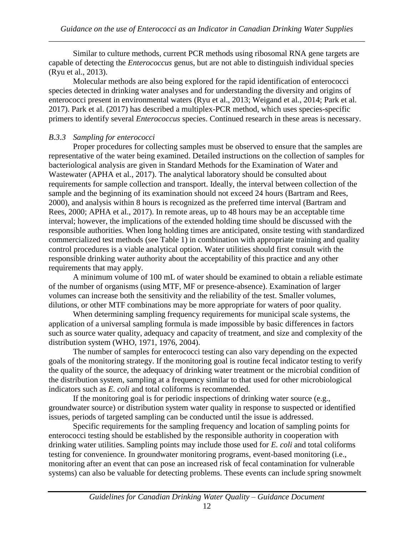Similar to culture methods, current PCR methods using ribosomal RNA gene targets are capable of detecting the *Enterococcus* genus, but are not able to distinguish individual species (Ryu et al., 2013).

Molecular methods are also being explored for the rapid identification of enterococci species detected in drinking water analyses and for understanding the diversity and origins of enterococci present in environmental waters (Ryu et al., 2013; Weigand et al., 2014; Park et al. 2017). Park et al. (2017) has described a multiplex-PCR method, which uses species-specific primers to identify several *Enterococcus* species. Continued research in these areas is necessary.

#### *B.3.3 Sampling for enterococci*

Proper procedures for collecting samples must be observed to ensure that the samples are representative of the water being examined. Detailed instructions on the collection of samples for bacteriological analysis are given in Standard Methods for the Examination of Water and Wastewater (APHA et al., 2017). The analytical laboratory should be consulted about requirements for sample collection and transport. Ideally, the interval between collection of the sample and the beginning of its examination should not exceed 24 hours (Bartram and Rees, 2000), and analysis within 8 hours is recognized as the preferred time interval (Bartram and Rees, 2000; APHA et al., 2017). In remote areas, up to 48 hours may be an acceptable time interval; however, the implications of the extended holding time should be discussed with the responsible authorities. When long holding times are anticipated, onsite testing with standardized commercialized test methods (see Table 1) in combination with appropriate training and quality control procedures is a viable analytical option. Water utilities should first consult with the responsible drinking water authority about the acceptability of this practice and any other requirements that may apply.

A minimum volume of 100 mL of water should be examined to obtain a reliable estimate of the number of organisms (using MTF, MF or presence-absence). Examination of larger volumes can increase both the sensitivity and the reliability of the test. Smaller volumes, dilutions, or other MTF combinations may be more appropriate for waters of poor quality.

When determining sampling frequency requirements for municipal scale systems, the application of a universal sampling formula is made impossible by basic differences in factors such as source water quality, adequacy and capacity of treatment, and size and complexity of the distribution system (WHO, 1971, 1976, 2004).

The number of samples for enterococci testing can also vary depending on the expected goals of the monitoring strategy. If the monitoring goal is routine fecal indicator testing to verify the quality of the source, the adequacy of drinking water treatment or the microbial condition of the distribution system, sampling at a frequency similar to that used for other microbiological indicators such as *E. coli* and total coliforms is recommended.

If the monitoring goal is for periodic inspections of drinking water source (e.g., groundwater source) or distribution system water quality in response to suspected or identified issues, periods of targeted sampling can be conducted until the issue is addressed.

Specific requirements for the sampling frequency and location of sampling points for enterococci testing should be established by the responsible authority in cooperation with drinking water utilities. Sampling points may include those used for *E. coli* and total coliforms testing for convenience. In groundwater monitoring programs, event-based monitoring (i.e., monitoring after an event that can pose an increased risk of fecal contamination for vulnerable systems) can also be valuable for detecting problems. These events can include spring snowmelt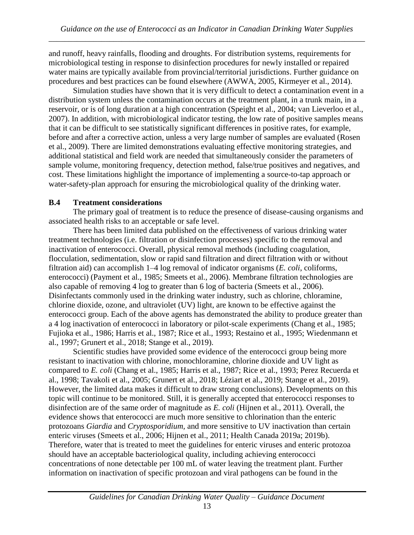and runoff, heavy rainfalls, flooding and droughts. For distribution systems, requirements for microbiological testing in response to disinfection procedures for newly installed or repaired water mains are typically available from provincial/territorial jurisdictions. Further guidance on procedures and best practices can be found elsewhere (AWWA, 2005, Kirmeyer et al., 2014).

Simulation studies have shown that it is very difficult to detect a contamination event in a distribution system unless the contamination occurs at the treatment plant, in a trunk main, in a reservoir, or is of long duration at a high concentration (Speight et al., 2004; van Lieverloo et al., 2007). In addition, with microbiological indicator testing, the low rate of positive samples means that it can be difficult to see statistically significant differences in positive rates, for example, before and after a corrective action, unless a very large number of samples are evaluated (Rosen et al., 2009). There are limited demonstrations evaluating effective monitoring strategies, and additional statistical and field work are needed that simultaneously consider the parameters of sample volume, monitoring frequency, detection method, false/true positives and negatives, and cost. These limitations highlight the importance of implementing a source-to-tap approach or water-safety-plan approach for ensuring the microbiological quality of the drinking water.

#### **B.4 Treatment considerations**

The primary goal of treatment is to reduce the presence of disease-causing organisms and associated health risks to an acceptable or safe level.

There has been limited data published on the effectiveness of various drinking water treatment technologies (i.e. filtration or disinfection processes) specific to the removal and inactivation of enterococci. Overall, physical removal methods (including coagulation, flocculation, sedimentation, slow or rapid sand filtration and direct filtration with or without filtration aid) can accomplish 1–4 log removal of indicator organisms (*E. coli*, coliforms, enterococci) (Payment et al., 1985; Smeets et al., 2006). Membrane filtration technologies are also capable of removing 4 log to greater than 6 log of bacteria (Smeets et al., 2006). Disinfectants commonly used in the drinking water industry, such as chlorine, chloramine, chlorine dioxide, ozone, and ultraviolet (UV) light, are known to be effective against the enterococci group. Each of the above agents has demonstrated the ability to produce greater than a 4 log inactivation of enterococci in laboratory or pilot-scale experiments (Chang et al., 1985; Fujioka et al., 1986; Harris et al., 1987; Rice et al., 1993; Restaino et al., 1995; Wiedenmann et al., 1997; Grunert et al., 2018; Stange et al., 2019).

Scientific studies have provided some evidence of the enterococci group being more resistant to inactivation with chlorine, monochloramine, chlorine dioxide and UV light as compared to *E. coli* (Chang et al., 1985; Harris et al., 1987; Rice et al., 1993; Perez Recuerda et al., 1998; Tavakoli et al., 2005; Grunert et al., 2018; Léziart et al., 2019; Stange et al., 2019). However, the limited data makes it difficult to draw strong conclusions). Developments on this topic will continue to be monitored. Still, it is generally accepted that enterococci responses to disinfection are of the same order of magnitude as *E. coli* (Hijnen et al., 2011)*.* Overall, the evidence shows that enterococci are much more sensitive to chlorination than the enteric protozoans *Giardia* and *Cryptosporidium,* and more sensitive to UV inactivation than certain enteric viruses (Smeets et al., 2006; Hijnen et al., 2011; Health Canada 2019a; 2019b). Therefore, water that is treated to meet the guidelines for enteric viruses and enteric protozoa should have an acceptable bacteriological quality, including achieving enterococci concentrations of none detectable per 100 mL of water leaving the treatment plant. Further information on inactivation of specific protozoan and viral pathogens can be found in the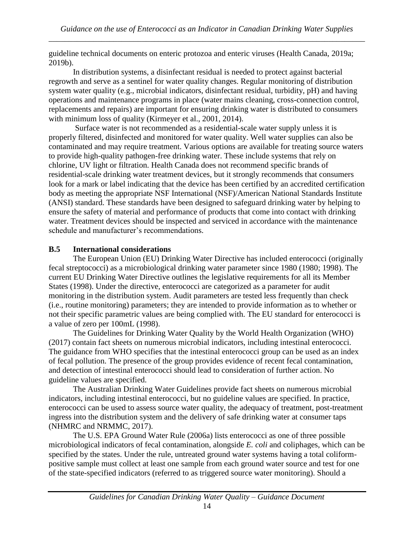guideline technical documents on enteric protozoa and enteric viruses (Health Canada, 2019a; 2019b).

In distribution systems, a disinfectant residual is needed to protect against bacterial regrowth and serve as a sentinel for water quality changes. Regular monitoring of distribution system water quality (e.g., microbial indicators, disinfectant residual, turbidity, pH) and having operations and maintenance programs in place (water mains cleaning, cross-connection control, replacements and repairs) are important for ensuring drinking water is distributed to consumers with minimum loss of quality (Kirmeyer et al., 2001, 2014).

Surface water is not recommended as a residential-scale water supply unless it is properly filtered, disinfected and monitored for water quality. Well water supplies can also be contaminated and may require treatment. Various options are available for treating source waters to provide high-quality pathogen-free drinking water. These include systems that rely on chlorine, UV light or filtration. Health Canada does not recommend specific brands of residential-scale drinking water treatment devices, but it strongly recommends that consumers look for a mark or label indicating that the device has been certified by an accredited certification body as meeting the appropriate NSF International (NSF)/American National Standards Institute (ANSI) standard. These standards have been designed to safeguard drinking water by helping to ensure the safety of material and performance of products that come into contact with drinking water. Treatment devices should be inspected and serviced in accordance with the maintenance schedule and manufacturer's recommendations.

# **B.5 International considerations**

The European Union (EU) Drinking Water Directive has included enterococci (originally fecal streptococci) as a microbiological drinking water parameter since 1980 (1980; 1998). The current EU Drinking Water Directive outlines the legislative requirements for all its Member States (1998). Under the directive, enterococci are categorized as a parameter for audit monitoring in the distribution system. Audit parameters are tested less frequently than check (i.e., routine monitoring) parameters; they are intended to provide information as to whether or not their specific parametric values are being complied with. The EU standard for enterococci is a value of zero per 100mL (1998).

The Guidelines for Drinking Water Quality by the World Health Organization (WHO) (2017) contain fact sheets on numerous microbial indicators, including intestinal enterococci. The guidance from WHO specifies that the intestinal enterococci group can be used as an index of fecal pollution. The presence of the group provides evidence of recent fecal contamination, and detection of intestinal enterococci should lead to consideration of further action. No guideline values are specified.

The Australian Drinking Water Guidelines provide fact sheets on numerous microbial indicators, including intestinal enterococci, but no guideline values are specified. In practice, enterococci can be used to assess source water quality, the adequacy of treatment, post-treatment ingress into the distribution system and the delivery of safe drinking water at consumer taps (NHMRC and NRMMC, 2017).

The U.S. EPA Ground Water Rule (2006a) lists enterococci as one of three possible microbiological indicators of fecal contamination, alongside *E. coli* and coliphages, which can be specified by the states. Under the rule, untreated ground water systems having a total coliformpositive sample must collect at least one sample from each ground water source and test for one of the state-specified indicators (referred to as triggered source water monitoring). Should a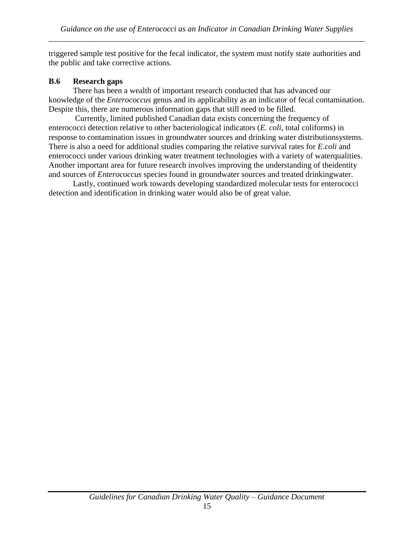the public and take corrective actions. triggered sample test positive for the fecal indicator, the system must notify state authorities and

## **B.6 Research gaps**

Despite this, there are numerous information gaps that still need to be filled. knowledge of the *Enterococcus* genus and its applicability as an indicator of fecal contamination. There has been a wealth of important research conducted that has advanced our

and sources of *Enterococcus* species found in groundwater sources and treated drinkingwater. Another important area for future research involves improving the understanding of theidentity enterococci under various drinking water treatment technologies with a variety of waterqualities. There is also a need for additional studies comparing the relative survival rates for *E.coli* and response to contamination issues in groundwater sources and drinking water distributionsystems. enterococci detection relative to other bacteriological indicators (*E. coli*, total coliforms) in Currently, limited published Canadian data exists concerning the frequency of

detection and identification in drinking water would also be of great value. Lastly, continued work towards developing standardized molecular tests for enterococci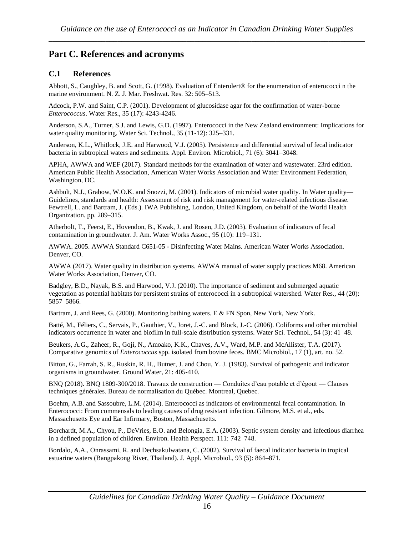# **Part C. References and acronyms**

#### **C.1 References**

Abbott, S., Caughley, B. and Scott, G. (1998). Evaluation of Enterolert® for the enumeration of enterococci n the marine environment. N. Z. J. Mar. Freshwat. Res. 32: 505–513.

Adcock, P.W. and Saint, C.P. (2001). Development of glucosidase agar for the confirmation of water-borne *Enterococcus*. Water Res., 35 (17): 4243-4246.

Anderson, S.A., Turner, S.J. and Lewis, G.D. (1997). Enterococci in the New Zealand environment: Implications for water quality monitoring. Water Sci. Technol., 35 (11-12): 325–331.

Anderson, K.L., Whitlock, J.E. and Harwood, V.J. (2005). Persistence and differential survival of fecal indicator bacteria in subtropical waters and sediments. Appl. Environ. Microbiol., 71 (6): 3041–3048.

APHA, AWWA and WEF (2017). Standard methods for the examination of water and wastewater. 23rd edition. American Public Health Association, American Water Works Association and Water Environment Federation, Washington, DC.

Ashbolt, N.J., Grabow, W.O.K. and Snozzi, M. (2001). Indicators of microbial water quality. In Water quality— Guidelines, standards and health: Assessment of risk and risk management for water-related infectious disease. Fewtrell, L. and Bartram, J. (Eds.). IWA Publishing, London, United Kingdom, on behalf of the World Health Organization. pp. 289–315.

Atherholt, T., Feerst, E., Hovendon, B., Kwak, J. and Rosen, J.D. (2003). Evaluation of indicators of fecal contamination in groundwater. J. Am. Water Works Assoc., 95 (10): 119–131.

AWWA. 2005. AWWA Standard C651-05 - Disinfecting Water Mains. American Water Works Association. Denver, CO.

AWWA (2017). Water quality in distribution systems. AWWA manual of water supply practices M68. American Water Works Association, Denver, CO.

Badgley, B.D., Nayak, B.S. and Harwood, V.J. (2010). The importance of sediment and submerged aquatic vegetation as potential habitats for persistent strains of enterococci in a subtropical watershed. Water Res., 44 (20): 5857–5866.

Bartram, J. and Rees, G. (2000). Monitoring bathing waters. E & FN Spon, New York, New York.

Batté, M., Féliers, C., Servais, P., Gauthier, V., Joret, J.-C. and Block, J.-C. (2006). Coliforms and other microbial indicators occurrence in water and biofilm in full-scale distribution systems. Water Sci. Technol., 54 (3): 41–48.

Beukers, A.G., Zaheer, R., Goji, N., Amoako, K.K., Chaves, A.V., Ward, M.P. and McAllister, T.A. (2017). Comparative genomics of *Enterococcus* spp. isolated from bovine feces. BMC Microbiol., 17 (1), art. no. 52.

Bitton, G., Farrah, S. R., Ruskin, R. H., Butner, J. and Chou, Y. J. (1983). Survival of pathogenic and indicator organisms in groundwater. Ground Water, 21: 405-410.

BNQ (2018). BNQ 1809-300/2018. Travaux de construction — Conduites d'eau potable et d'égout — Clauses techniques générales. Bureau de normalisation du Québec. Montreal, Quebec.

Boehm, A.B. and Sassoubre, L.M. (2014). Enterococci as indicators of environmental fecal contamination. In Enterococci: From commensals to leading causes of drug resistant infection. Gilmore, M.S. et al., eds. Massachusetts Eye and Ear Infirmary, Boston, Massachusetts.

Borchardt, M.A., Chyou, P., DeVries, E.O. and Belongia, E.A. (2003). Septic system density and infectious diarrhea in a defined population of children. Environ. Health Perspect. 111: 742–748.

Bordalo, A.A., Onrassami, R. and Dechsakulwatana, C. (2002). Survival of faecal indicator bacteria in tropical estuarine waters (Bangpakong River, Thailand). J. Appl. Microbiol., 93 (5): 864–871.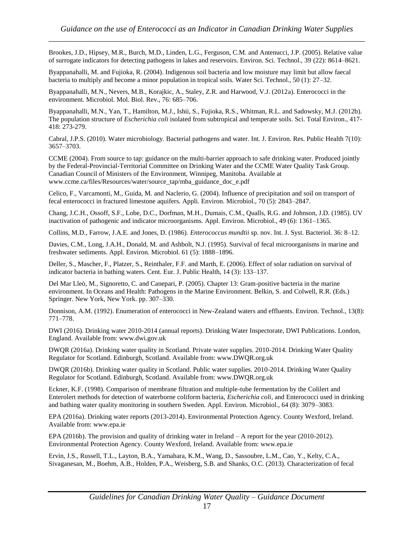Brookes, J.D., Hipsey, M.R., Burch, M.D., Linden, L.G., Ferguson, C.M. and Antenucci, J.P. (2005). Relative value of surrogate indicators for detecting pathogens in lakes and reservoirs. Environ. Sci. Technol., 39 (22): 8614–8621.

Byappanahalli, M. and Fujioka, R. (2004). Indigenous soil bacteria and low moisture may limit but allow faecal bacteria to multiply and become a minor population in tropical soils. Water Sci. Technol., 50 (1): 27–32.

Byappanahalli, M.N., Nevers, M.B., Korajkic, A., Staley, Z.R. and Harwood, V.J. (2012a). Enterococci in the environment. Microbiol. Mol. Biol. Rev., 76: 685–706.

Byappanahalli, M.N., Yan, T., Hamilton, M.J., Ishii, S., Fujioka, R.S., Whitman, R.L. and Sadowsky, M.J. (2012b). The population structure of *Escherichia coli* isolated from subtropical and temperate soils. Sci. Total Environ., 417- 418: 273-279.

Cabral, J.P.S. (2010). Water microbiology. Bacterial pathogens and water. Int. J. Environ. Res. Public Health 7(10): 3657*–*3703.

CCME (2004). From source to tap: guidance on the multi-barrier approach to safe drinking water. Produced jointly by the Federal-Provincial-Territorial Committee on Drinking Water and the CCME Water Quality Task Group. Canadian Council of Ministers of the Environment, Winnipeg, Manitoba. Available at www.ccme.ca/files/Resources/water/source\_tap/mba\_guidance\_doc\_e.pdf

Celico, F., Varcamonti, M., Guida, M. and Naclerio, G. (2004). Influence of precipitation and soil on transport of fecal enterococci in fractured limestone aquifers. Appli. Environ. Microbiol., 70 (5): 2843–2847.

Chang, J.C.H., Ossoff, S.F., Lobe, D.C., Dorfman, M.H., Dumais, C.M., Qualls, R.G. and Johnson, J.D. (1985). UV inactivation of pathogenic and indicator microorganisms. Appl. Environ. Microbiol., 49 (6): 1361–1365.

Collins, M.D., Farrow, J.A.E. and Jones, D. (1986). *Enterococcus mundtii* sp. nov. Int. J. Syst. Bacteriol. 36: 8–12.

Davies, C.M., Long, J.A.H., Donald, M. and Ashbolt, N.J. (1995). Survival of fecal microorganisms in marine and freshwater sediments. Appl. Environ. Microbiol. 61 (5): 1888–1896.

Deller, S., Mascher, F., Platzer, S., Reinthaler, F.F. and Marth, E. (2006). Effect of solar radiation on survival of indicator bacteria in bathing waters. Cent. Eur. J. Public Health, 14 (3): 133–137.

Del Mar Lleò, M., Signoretto, C. and Canepari, P. (2005). Chapter 13: Gram-positive bacteria in the marine environment. In Oceans and Health: Pathogens in the Marine Environment. Belkin, S. and Colwell, R.R. (Eds.) Springer. New York, New York. pp. 307–330.

Donnison, A.M. (1992). Enumeration of enterococci in New-Zealand waters and effluents. Environ. Technol., 13(8): 771–778.

DWI (2016). Drinking water 2010-2014 (annual reports). Drinking Water Inspectorate, DWI Publications. London, England. Available from: www.dwi.gov.uk

DWQR (2016a). Drinking water quality in Scotland. Private water supplies. 2010-2014. Drinking Water Quality Regulator for Scotland. Edinburgh, Scotland. Available from: www.DWQR.org.uk

DWQR (2016b). Drinking water quality in Scotland. Public water supplies. 2010-2014. Drinking Water Quality Regulator for Scotland. Edinburgh, Scotland. Available from: www.DWQR.org.uk

Eckner, K.F. (1998). Comparison of membrane filtration and multiple-tube fermentation by the Colilert and Enterolert methods for detection of waterborne coliform bacteria, *Escherichia coli*, and Enterococci used in drinking and bathing water quality monitoring in southern Sweden. Appl. Environ. Microbiol., 64 (8): 3079–3083.

EPA (2016a). Drinking water reports (2013-2014). Environmental Protection Agency. County Wexford, Ireland. Available from: www.epa.ie

EPA (2016b). The provision and quality of drinking water in Ireland – A report for the year (2010-2012). Environmental Protection Agency. County Wexford, Ireland. Available from: www.epa.ie

Ervin, J.S., Russell, T.L., Layton, B.A., Yamahara, K.M., Wang, D., Sassoubre, L.M., Cao, Y., Kelty, C.A., Sivaganesan, M., Boehm, A.B., Holden, P.A., Weisberg, S.B. and Shanks, O.C. (2013). Characterization of fecal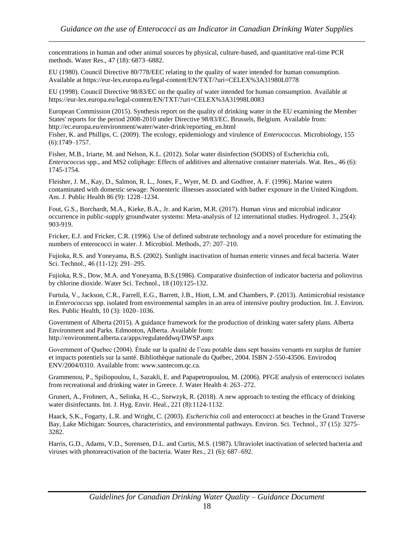concentrations in human and other animal sources by physical, culture-based, and quantitative real-time PCR methods. Water Res., 47 (18): 6873–6882.

EU (1980). Council Directive 80/778/EEC relating to the quality of water intended for human consumption. Available at https://eur-lex.europa.eu/legal-content/EN/TXT/?uri=CELEX%3A31980L0778

EU (1998). Council Directive 98/83/EC on the quality of water intended for human consumption. Available at https://eur-lex.europa.eu/legal-content/EN/TXT/?uri=CELEX%3A31998L0083

European Commission (2015). Synthesis report on the quality of drinking water in the EU examining the Member States' reports for the period 2008-2010 under Directive 98/83/EC. Brussels, Belgium. Available from: http://ec.europa.eu/environment/water/water-drink/reporting\_en.html

Fisher, K. and Phillips, C. (2009). The ecology, epidemiology and virulence of *Enterococcus*. Microbiology, 155 (6):1749–1757.

Fisher, M.B., Iriarte, M. and Nelson, K.L. (2012). Solar water disinfection (SODIS) of Escherichia coli, *Enterococcus* spp., and MS2 coliphage: Effects of additives and alternative container materials. Wat. Res., 46 (6): 1745-1754.

Fleisher, J. M., Kay, D., Salmon, R. L., Jones, F., Wyer, M. D. and Godfree, A. F. (1996). Marine waters contaminated with domestic sewage: Nonenteric illnesses associated with bather exposure in the United Kingdom. Am. J. Public Health 86 (9): 1228–1234.

Fout, G.S., Borchardt, M.A., Kieke, B.A., Jr. and Karim, M.R. (2017). Human virus and microbial indicator occurrence in public-supply groundwater systems: Meta-analysis of 12 international studies. Hydrogeol. J., 25(4): 903-919.

Fricker, E.J. and Fricker, C.R. (1996). Use of defined substrate technology and a novel procedure for estimating the numbers of enterococci in water. J. Microbiol. Methods, 27: 207–210.

Fujioka, R.S. and Yoneyama, B.S. (2002). Sunlight inactivation of human enteric viruses and fecal bacteria. Water Sci. Technol., 46 (11-12): 291–295.

Fujioka, R.S., Dow, M.A. and Yoneyama, B.S.(1986). Comparative disinfection of indicator bacteria and poliovirus by chlorine dioxide. Water Sci. Technol., 18 (10):125-132.

Furtula, V., Jackson, C.R., Farrell, E.G., Barrett, J.B., Hiott, L.M. and Chambers, P. (2013). Antimicrobial resistance in *Enterococcus* spp. isolated from environmental samples in an area of intensive poultry production. Int. J. Environ. Res. Public Health, 10 (3): 1020–1036.

Government of Alberta (2015). A guidance framework for the production of drinking water safety plans. Alberta Environment and Parks. Edmonton, Alberta. Available from: http://environment.alberta.ca/apps/regulateddwq/DWSP.aspx

Government of Quebec (2004). Étude sur la qualité de l'eau potable dans sept bassins versants en surplus de fumier et impacts potentiels sur la santé. Bibliothèque nationale du Québec, 2004. ISBN 2-550-43506. Envirodoq ENV/2004/0310. Available from: www.santecom.qc.ca.

Grammenou, P., Spiliopoulou, I., Sazakli, E. and Papapetropoulou, M. (2006). PFGE analysis of enterococci isolates from recreational and drinking water in Greece. J. Water Health 4: 263–272.

Grunert, A., Frohnert, A., Selinka, H.-C., Szewzyk, R. (2018). A new approach to testing the efficacy of drinking water disinfectants. Int. J. Hyg. Envir. Heal., 221 (8):1124-1132.

Haack, S.K., Fogarty, L.R. and Wright, C. (2003). *Escherichia coli* and enterococci at beaches in the Grand Traverse Bay, Lake Michigan: Sources, characteristics, and environmental pathways. Environ. Sci. Technol., 37 (15): 3275– 3282.

Harris, G.D., Adams, V.D., Sorensen, D.L. and Curtis, M.S. (1987). Ultraviolet inactivation of selected bacteria and viruses with photoreactivation of the bacteria. Water Res., 21 (6): 687–692.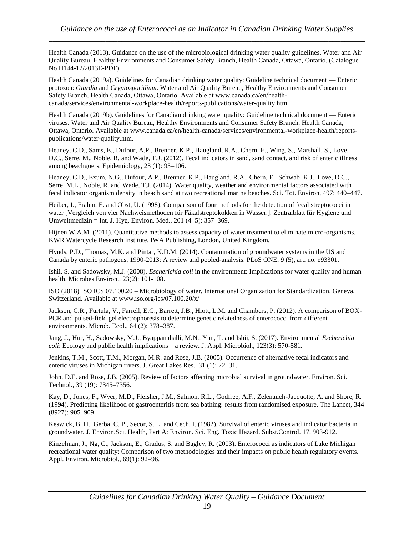Health Canada (2013). Guidance on the use of the microbiological drinking water quality guidelines. Water and Air Quality Bureau, Healthy Environments and Consumer Safety Branch, Health Canada, Ottawa, Ontario. (Catalogue No H144-12/2013E-PDF).

Health Canada (2019a). Guidelines for Canadian drinking water quality: Guideline technical document — Enteric protozoa: *Giardia* and *Cryptosporidium*. Water and Air Quality Bureau, Healthy Environments and Consumer Safety Branch, Health Canada, Ottawa, Ontario. Available at www.canada.ca/en/healthcanada/services/environmental-workplace-health/reports-publications/water-quality.htm

Health Canada (2019b). Guidelines for Canadian drinking water quality: Guideline technical document — Enteric viruses. Water and Air Quality Bureau, Healthy Environments and Consumer Safety Branch, Health Canada, Ottawa, Ontario. Available at www.canada.ca/en/health-canada/services/environmental-workplace-health/reportspublications/water-quality.htm.

Heaney, C.D., Sams, E., Dufour, A.P., Brenner, K.P., Haugland, R.A., Chern, E., Wing, S., Marshall, S., Love, D.C., Serre, M., Noble, R. and Wade, T.J. (2012). Fecal indicators in sand, sand contact, and risk of enteric illness among beachgoers. Epidemiology, 23 (1): 95–106.

Heaney, C.D., Exum, N.G., Dufour, A.P., Brenner, K.P., Haugland, R.A., Chern, E., Schwab, K.J., Love, D.C., Serre, M.L., Noble, R. and Wade, T.J. (2014). Water quality, weather and environmental factors associated with fecal indicator organism density in beach sand at two recreational marine beaches. Sci. Tot. Environ, 497: 440–447.

Heiber, I., Frahm, E. and Obst, U. (1998). Comparison of four methods for the detection of fecal streptococci in water [Vergleich von vier Nachweismethoden für Fäkalstreptokokken in Wasser.]. Zentralblatt für Hygiene und Umweltmedizin = Int. J. Hyg. Environ. Med., 201 (4–5): 357–369.

Hijnen W.A.M. (2011). Quantitative methods to assess capacity of water treatment to eliminate micro-organisms. KWR Watercycle Research Institute. IWA Publishing, London, United Kingdom.

Hynds, P.D., Thomas, M.K. and Pintar, K.D.M. (2014). Contamination of groundwater systems in the US and Canada by enteric pathogens, 1990-2013: A review and pooled-analysis. PLoS ONE, 9 (5), art. no. e93301.

Ishii, S. and Sadowsky, M.J. (2008). *Escherichia coli* in the environment: Implications for water quality and human health. Microbes Environ., 23(2): 101-108.

ISO (2018) ISO ICS 07.100.20 – Microbiology of water. International Organization for Standardization. Geneva, Switzerland. Available at www.iso.org/ics/07.100.20/x/

Jackson, C.R., Furtula, V., Farrell, E.G., Barrett, J.B., Hiott, L.M. and Chambers, P. (2012). A comparison of BOX-PCR and pulsed-field gel electrophoresis to determine genetic relatedness of enterococci from different environments. Microb. Ecol., 64 (2): 378–387.

Jang, J., Hur, H., Sadowsky, M.J., Byappanahalli, M.N., Yan, T. and Ishii, S. (2017). Environmental *Escherichia coli*: Ecology and public health implications—a review. J. Appl. Microbiol., 123(3): 570-581.

Jenkins, T.M., Scott, T.M., Morgan, M.R. and Rose, J.B. (2005). Occurrence of alternative fecal indicators and enteric viruses in Michigan rivers. J. Great Lakes Res., 31 (1): 22–31.

John, D.E. and Rose, J.B. (2005). Review of factors affecting microbial survival in groundwater. Environ. Sci. Technol., 39 (19): 7345–7356.

Kay, D., Jones, F., Wyer, M.D., Fleisher, J.M., Salmon, R.L., Godfree, A.F., Zelenauch-Jacquotte, A. and Shore, R. (1994). Predicting likelihood of gastroenteritis from sea bathing: results from randomised exposure. The Lancet, 344 (8927): 905–909.

Keswick, B. H., Gerba, C. P., Secor, S. L. and Cech, I. (1982). Survival of enteric viruses and indicator bacteria in groundwater. J. Environ.Sci. Health, Part A: Environ. Sci. Eng. Toxic Hazard. Subst.Control. 17, 903-912.

Kinzelman, J., Ng, C., Jackson, E., Gradus, S. and Bagley, R. (2003). Enterococci as indicators of Lake Michigan recreational water quality: Comparison of two methodologies and their impacts on public health regulatory events. Appl. Environ. Microbiol., 69(1): 92–96.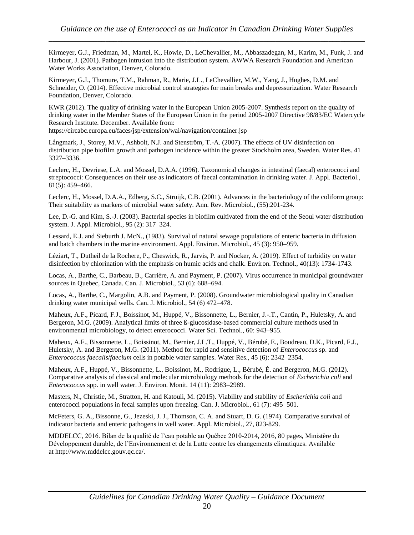Kirmeyer, G.J., Friedman, M., Martel, K., Howie, D., LeChevallier, M., Abbaszadegan, M., Karim, M., Funk, J. and Harbour, J. (2001). Pathogen intrusion into the distribution system. AWWA Research Foundation and American Water Works Association, Denver, Colorado.

Kirmeyer, G.J., Thomure, T.M., Rahman, R., Marie, J.L., LeChevallier, M.W., Yang, J., Hughes, D.M. and Schneider, O. (2014). Effective microbial control strategies for main breaks and depressurization. Water Research Foundation, Denver, Colorado.

KWR (2012). The quality of drinking water in the European Union 2005-2007. Synthesis report on the quality of drinking water in the Member States of the European Union in the period 2005-2007 Directive 98/83/EC Watercycle Research Institute. December. Available from:

https://circabc.europa.eu/faces/jsp/extension/wai/navigation/container.jsp

Långmark, J., Storey, M.V., Ashbolt, N.J. and Stenström, T.-A. (2007). The effects of UV disinfection on distribution pipe biofilm growth and pathogen incidence within the greater Stockholm area, Sweden. Water Res. 41 3327–3336.

Leclerc, H., Devriese, L.A. and Mossel, D.A.A. (1996). Taxonomical changes in intestinal (faecal) enterococci and streptococci: Consequences on their use as indicators of faecal contamination in drinking water. J. Appl. Bacteriol., 81(5): 459–466.

Leclerc, H., Mossel, D.A.A., Edberg, S.C., Struijk, C.B. (2001). Advances in the bacteriology of the coliform group: Their suitability as markers of microbial water safety. Ann. Rev. Microbiol., (55):201-234.

Lee, D.-G. and Kim, S.-J. (2003). Bacterial species in biofilm cultivated from the end of the Seoul water distribution system. J. Appl. Microbiol., 95 (2): 317–324.

Lessard, E.J. and Sieburth J. McN., (1983). Survival of natural sewage populations of enteric bacteria in diffusion and batch chambers in the marine environment. Appl. Environ. Microbiol., 45 (3): 950–959.

Léziart, T., Dutheil de la Rochere, P., Cheswick, R., Jarvis, P. and Nocker, A. (2019). Effect of turbidity on water disinfection by chlorination with the emphasis on humic acids and chalk. Environ. Technol., 40(13): 1734-1743.

Locas, A., Barthe, C., Barbeau, B., Carrière, A. and Payment, P. (2007). Virus occurrence in municipal groundwater sources in Quebec, Canada. Can. J. Microbiol., 53 (6): 688–694.

Locas, A., Barthe, C., Margolin, A.B. and Payment, P. (2008). Groundwater microbiological quality in Canadian drinking water municipal wells. Can. J. Microbiol., 54 (6) 472–478.

Maheux, A.F., Picard, F.J., Boissinot, M., Huppé, V., Bissonnette, L., Bernier, J.-.T., Cantin, P., Huletsky, A. and Bergeron, M.G. (2009). Analytical limits of three ß-glucosidase-based commercial culture methods used in environmental microbiology, to detect enterococci. Water Sci. Technol., 60: 943–955.

Maheux, A.F., Bissonnette, L., Boissinot, M., Bernier, J.L.T., Huppé, V., Bérubé, E., Boudreau, D.K., Picard, F.J., Huletsky, A. and Bergeron, M.G. (2011). Method for rapid and sensitive detection of *Enterococcus* sp. and *Enterococcus faecalis*/*faecium* cells in potable water samples. Water Res., 45 (6): 2342–2354.

Maheux, A.F., Huppé, V., Bissonnette, L., Boissinot, M., Rodrigue, L., Bérubé, È. and Bergeron, M.G. (2012). Comparative analysis of classical and molecular microbiology methods for the detection of *Escherichia coli* and *Enterococcus* spp. in well water. J. Environ. Monit. 14 (11): 2983–2989.

Masters, N., Christie, M., Stratton, H. and Katouli, M. (2015). Viability and stability of *Escherichia coli* and enterococci populations in fecal samples upon freezing. Can. J. Microbiol., 61 (7): 495–501.

McFeters, G. A., Bissonne, G., Jezeski, J. J., Thomson, C. A. and Stuart, D. G. (1974). Comparative survival of indicator bacteria and enteric pathogens in well water. Appl. Microbiol., 27, 823-829.

MDDELCC, 2016. Bilan de la qualité de l'eau potable au Québec 2010-2014, 2016, 80 pages, Ministère du Développement durable, de l'Environnement et de la Lutte contre les changements climatiques. Available at http://www.mddelcc.gouv.qc.ca/.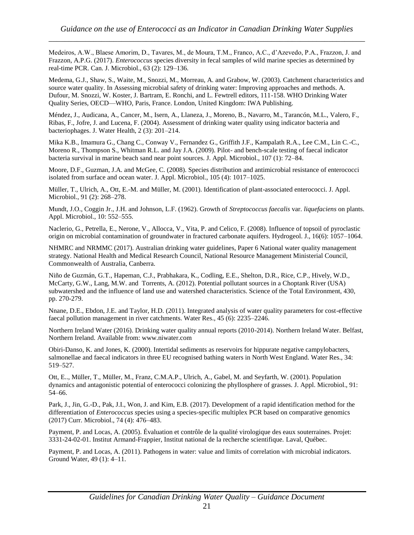Medeiros, A.W., Blaese Amorim, D., Tavares, M., de Moura, T.M., Franco, A.C., d'Azevedo, P.A., Frazzon, J. and Frazzon, A.P.G. (2017). *Enterococcus* species diversity in fecal samples of wild marine species as determined by real-time PCR. Can. J. Microbiol., 63 (2): 129–136.

Medema, G.J., Shaw, S., Waite, M., Snozzi, M., Morreau, A. and Grabow, W. (2003). Catchment characteristics and source water quality. In Assessing microbial safety of drinking water: Improving approaches and methods. A. Dufour, M. Snozzi, W. Koster, J. Bartram, E. Ronchi, and L. Fewtrell editors, 111-158. WHO Drinking Water Quality Series, OECD—WHO, Paris, France. London, United Kingdom: IWA Publishing.

Méndez, J., Audicana, A., Cancer, M., Isern, A., Llaneza, J., Moreno, B., Navarro, M., Tarancón, M.L., Valero, F., Ribas, F., Jofre, J. and Lucena, F. (2004). Assessment of drinking water quality using indicator bacteria and bacteriophages. J. Water Health, 2 (3): 201–214.

Mika K.B., Imamura G., Chang C., Conway V., Fernandez G., Griffith J.F., Kampalath R.A., Lee C.M., Lin C.-C., Moreno R., Thompson S., Whitman R.L. and Jay J.A. (2009). Pilot- and bench-scale testing of faecal indicator bacteria survival in marine beach sand near point sources. J. Appl. Microbiol., 107 (1): 72–84.

Moore, D.F., Guzman, J.A. and McGee, C. (2008). Species distribution and antimicrobial resistance of enterococci isolated from surface and ocean water. J. Appl. Microbiol., 105 (4): 1017–1025.

Müller, T., Ulrich, A., Ott, E.-M. and Müller, M. (2001). Identification of plant-associated enterococci. J. Appl. Microbiol., 91 (2): 268–278.

Mundt, J.O., Coggin Jr., J.H. and Johnson, L.F. (1962). Growth of *Streptococcus faecalis* var. *liquefaciens* on plants. Appl. Microbiol., 10: 552–555.

Naclerio, G., Petrella, E., Nerone, V., Allocca, V., Vita, P. and Celico, F. (2008). Influence of topsoil of pyroclastic origin on microbial contamination of groundwater in fractured carbonate aquifers. Hydrogeol. J., 16(6): 1057–1064.

NHMRC and NRMMC (2017). Australian drinking water guidelines, Paper 6 National water quality management strategy. National Health and Medical Research Council, National Resource Management Ministerial Council, Commonwealth of Australia, Canberra.

Niño de Guzmán, G.T., Hapeman, C.J., Prabhakara, K., Codling, E.E., Shelton, D.R., Rice, C.P., Hively, W.D., McCarty, G.W., Lang, M.W. and Torrents, A. (2012). Potential pollutant sources in a Choptank River (USA) subwatershed and the influence of land use and watershed characteristics. Science of the Total Environment, 430, pp. 270-279.

Nnane, D.E., Ebdon, J.E. and Taylor, H.D. (2011). Integrated analysis of water quality parameters for cost-effective faecal pollution management in river catchments. Water Res., 45 (6): 2235–2246.

Northern Ireland Water (2016). Drinking water quality annual reports (2010-2014). Northern Ireland Water. Belfast, Northern Ireland. Available from: www.niwater.com

Obiri-Danso, K. and Jones, K. (2000). Intertidal sediments as reservoirs for hippurate negative campylobacters, salmonellae and faecal indicators in three EU recognised bathing waters in North West England. Water Res., 34: 519–527.

Ott, E.., Müller, T., Müller, M., Franz, C.M.A.P., Ulrich, A., Gabel, M. and Seyfarth, W. (2001). Population dynamics and antagonistic potential of enterococci colonizing the phyllosphere of grasses. J. Appl. Microbiol., 91: 54–66.

Park, J., Jin, G.-D., Pak, J.I., Won, J. and Kim, E.B. (2017). Development of a rapid identification method for the differentiation of *Enterococcus s*pecies using a species-specific multiplex PCR based on comparative genomics (2017) Curr. Microbiol., 74 (4): 476–483.

Payment, P. and Locas, A. (2005). Évaluation et contrôle de la qualité virologique des eaux souterraines. Projet: 3331-24-02-01. Institut Armand-Frappier, Institut national de la recherche scientifique. Laval, Québec.

Payment, P. and Locas, A. (2011). Pathogens in water: value and limits of correlation with microbial indicators. Ground Water, 49 (1): 4–11.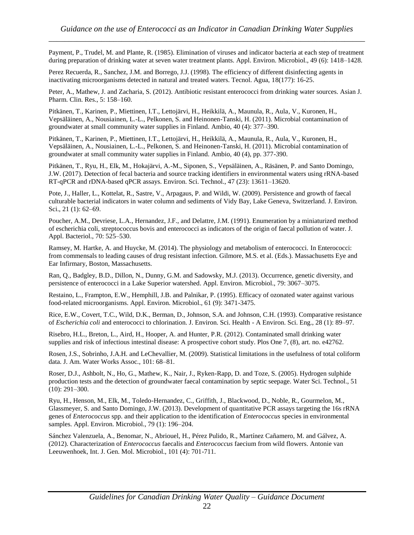Payment, P., Trudel, M. and Plante, R. (1985). Elimination of viruses and indicator bacteria at each step of treatment during preparation of drinking water at seven water treatment plants. Appl. Environ. Microbiol., 49 (6): 1418–1428.

Perez Recuerda, R., Sanchez, J.M. and Borrego, J.J. (1998). The efficiency of different disinfecting agents in inactivating microorganisms detected in natural and treated waters. Tecnol. Agua, 18(177): 16-25.

Peter, A., Mathew, J. and Zacharia, S. (2012). Antibiotic resistant enterococci from drinking water sources. Asian J. Pharm. Clin. Res., 5: 158–160.

Pitkänen, T., Karinen, P., Miettinen, I.T., Lettojärvi, H., Heikkilä, A., Maunula, R., Aula, V., Kuronen, H., Vepsäläinen, A., Nousiainen, L.-L., Pelkonen, S. and Heinonen-Tanski, H. (2011). Microbial contamination of groundwater at small community water supplies in Finland. Ambio, 40 (4): 377–390.

Pitkänen, T., Karinen, P., Miettinen, I.T., Lettojärvi, H., Heikkilä, A., Maunula, R., Aula, V., Kuronen, H., Vepsäläinen, A., Nousiainen, L.-L., Pelkonen, S. and Heinonen-Tanski, H. (2011). Microbial contamination of groundwater at small community water supplies in Finland. Ambio, 40 (4), pp. 377-390.

Pitkänen, T., Ryu, H., Elk, M., Hokajärvi, A.-M., Siponen, S., Vepsäläinen, A., Räsänen, P. and Santo Domingo, J.W. (2017). Detection of fecal bacteria and source tracking identifiers in environmental waters using rRNA-based RT-qPCR and rDNA-based qPCR assays. Environ. Sci. Technol., 47 (23): 13611–13620.

Pote, J., Haller, L., Kottelat, R., Sastre, V., Arpagaus, P. and Wildi, W. (2009). Persistence and growth of faecal culturable bacterial indicators in water column and sediments of Vidy Bay, Lake Geneva, Switzerland. J. Environ. Sci., 21 (1): 62–69.

Poucher, A.M., Devriese, L.A., Hernandez, J.F., and Delattre, J.M. (1991). Enumeration by a miniaturized method of escherichia coli, streptococcus bovis and enterococci as indicators of the origin of faecal pollution of water. J. Appl. Bacteriol., 70: 525–530.

Ramsey, M. Hartke, A. and Huycke, M. (2014). The physiology and metabolism of enterococci. In Enterococci: from commensals to leading causes of drug resistant infection. Gilmore, M.S. et al. (Eds.). Massachusetts Eye and Ear Infirmary, Boston, Massachusetts.

Ran, Q., Badgley, B.D., Dillon, N., Dunny, G.M. and Sadowsky, M.J. (2013). Occurrence, genetic diversity, and persistence of enterococci in a Lake Superior watershed. Appl. Environ. Microbiol., 79: 3067–3075.

Restaino, L., Frampton, E.W., Hemphill, J.B. and Palnikar, P. (1995). Efficacy of ozonated water against various food-related microorganisms. Appl. Environ. Microbiol., 61 (9): 3471-3475.

Rice, E.W., Covert, T.C., Wild, D.K., Berman, D., Johnson, S.A. and Johnson, C.H. (1993). Comparative resistance of *Escherichia coli* and enterococci to chlorination. J. Environ. Sci. Health - A Environ. Sci. Eng., 28 (1): 89–97.

Risebro, H.L., Breton, L., Aird, H., Hooper, A. and Hunter, P.R. (2012). Contaminated small drinking water supplies and risk of infectious intestinal disease: A prospective cohort study. Plos One 7, (8), art. no. e42762.

Rosen, J.S., Sobrinho, J.A.H. and LeChevallier, M. (2009). Statistical limitations in the usefulness of total coliform data. J. Am. Water Works Assoc., 101: 68–81.

Roser, D.J., Ashbolt, N., Ho, G., Mathew, K., Nair, J., Ryken-Rapp, D. and Toze, S. (2005). Hydrogen sulphide production tests and the detection of groundwater faecal contamination by septic seepage. Water Sci. Technol., 51 (10): 291–300.

Ryu, H., Henson, M., Elk, M., Toledo-Hernandez, C., Griffith, J., Blackwood, D., Noble, R., Gourmelon, M., Glassmeyer, S. and Santo Domingo, J.W. (2013). Development of quantitative PCR assays targeting the 16s rRNA genes of *Enterococcus* spp. and their application to the identification of *Enterococcus* species in environmental samples. Appl. Environ. Microbiol., 79 (1): 196–204.

Sánchez Valenzuela, A., Benomar, N., Abriouel, H., Pérez Pulido, R., Martínez Cañamero, M. and Gálvez, A. (2012). Characterization of *Enterococcus* faecalis and *Enterococcus* faecium from wild flowers. Antonie van Leeuwenhoek, Int. J. Gen. Mol. Microbiol., 101 (4): 701-711.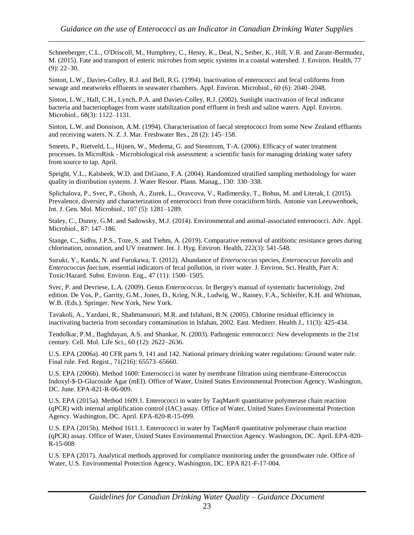Schneeberger, C.L., O'Driscoll, M., Humphrey, C., Henry, K., Deal, N., Seiber, K., Hill, V.R. and Zarate-Bermudez, M. (2015). Fate and transport of enteric microbes from septic systems in a coastal watershed. J. Environ. Health, 77 (9): 22–30.

Sinton, L.W., Davies-Colley, R.J. and Bell, R.G. (1994). Inactivation of enterococci and fecal coliforms from sewage and meatworks effluents in seawater chambers. Appl. Environ. Microbiol., 60 (6): 2040–2048.

Sinton, L.W., Hall, C.H., Lynch, P.A. and Davies-Colley, R.J. (2002). Sunlight inactivation of fecal indicator bacteria and bacteriophages from waste stabilization pond effluent in fresh and saline waters. Appl. Environ. Microbiol., 68(3): 1122–1131.

Sinton, L.W. and Donnison, A.M. (1994). Characterisation of faecal streptococci from some New Zealand effluents and receiving waters. N. Z. J. Mar. Freshwater Res., 28 (2): 145–158.

Smeets, P., Rietveld, L., Hijnen, W., Medema, G. and Stenstrom, T-A. (2006). Efficacy of water treatment processes. In MicroRisk - Microbiological risk assessment: a scientific basis for managing drinking water safety from source to tap. April.

Speight, V.L., Kalsbeek, W.D. and DiGiano, F.A. (2004). Randomized stratified sampling methodology for water quality in distribution systems. J. Water Resour. Plann. Manag., 130: 330–338.

Splichalova, P., Svec, P., Ghosh, A., Zurek, L., Oravcova, V., Radimersky, T., Bohus, M. and Literak, I. (2015). Prevalence, diversity and characterization of enterococci from three coraciiform birds. Antonie van Leeuwenhoek, Int. J. Gen. Mol. Microbiol., 107 (5): 1281–1289.

Staley, C., Dunny, G.M. and Sadowsky, M.J. (2014). Environmental and animal-associated enterococci. Adv. Appl. Microbiol., 87: 147–186.

Stange, C., Sidhu, J.P.S., Toze, S. and Tiehm, A. (2019). Comparative removal of antibiotic resistance genes during chlorination, ozonation, and UV treatment. Int. J. Hyg. Environ. Health, 222(3): 541-548.

Suzuki, Y., Kanda, N. and Furukawa, T. (2012). Abundance of *Enterococcus* species, *Enterococcus faecalis* and *Enterococcus faecium*, essential indicators of fecal pollution, in river water. J. Environ. Sci. Health, Part A: Toxic/Hazard. Subst. Environ. Eng., 47 (11): 1500–1505.

Svec, P. and Devriese, L.A. (2009). Genus *Enterococcus*. In Bergey's manual of systematic bacteriology, 2nd edition. De Vos, P., Garrity, G.M., Jones, D., Krieg, N.R., Ludwig, W., Rainey, F.A., Schleifer, K.H. and Whitman, W.B. (Eds.). Springer. New York, New York.

Tavakoli, A., Yazdani, R., Shahmansouri, M.R. and Isfahani, B.N. (2005). Chlorine residual efficiency in inactivating bacteria from secondary contamination in Isfahan, 2002. East. Mediterr. Health J., 11(3): 425-434.

Tendolkar, P.M., Baghdayan, A.S. and Shankar, N. (2003). Pathogenic enterococci: New developments in the 21st century. Cell. Mol. Life Sci., 60 (12): 2622–2636.

U.S. EPA (2006a). 40 CFR parts 9, 141 and 142. National primary drinking water regulations: Ground water rule. Final rule. Fed. Regist., 71(216): 65573–65660.

U.S. EPA (2006b). Method 1600: Enterococci in water by membrane filtration using membrane-Enterococcus Indoxyl-\$-D-Glucoside Agar (mEI). Office of Water, United States Environmental Protection Agency. Washington, DC. June. EPA-821-R-06-009.

U.S. EPA (2015a). Method 1609.1. Enterococci in water by TaqMan® quantitative polymerase chain reaction (qPCR) with internal amplification control (IAC) assay. Office of Water, United States Environmental Protection Agency. Washington, DC. April. EPA-820-R-15-099.

U.S. EPA (2015b). Method 1611.1. Enterococci in water by TaqMan® quantitative polymerase chain reaction (qPCR) assay. Office of Water, United States Environmental Protection Agency. Washington, DC. April. EPA-820- R-15-008

U.S. EPA (2017). Analytical methods approved for compliance monitoring under the groundwater rule. Office of Water, U.S. Environmental Protection Agency, Washington, DC. EPA 821-F-17-004.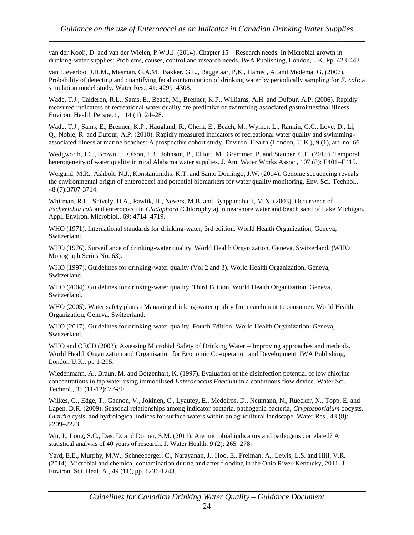van der Kooij, D. and van der Wielen, P.W.J.J. (2014). Chapter 15 – Research needs. In Microbial growth in drinking-water supplies: Problems, causes, control and research needs. IWA Publishing, London, UK. Pp. 423-443

van Lieverloo, J.H.M., Mesman, G.A.M., Bakker, G.L., Baggelaar, P,K., Hamed, A. and Medema, G. (2007). Probability of detecting and quantifying fecal contamination of drinking water by periodically sampling for *E. coli*: a simulation model study. Water Res., 41: 4299–4308.

Wade, T.J., Calderon, R.L., Sams, E., Beach, M., Brenner, K.P., Williams, A.H. and Dufour, A.P. (2006). Rapidly measured indicators of recreational water quality are predictive of swimming-associated gastrointestinal illness. Environ. Health Perspect., 114 (1): 24–28.

Wade, T.J., Sams, E., Brenner, K.P., Haugland, R., Chern, E., Beach, M., Wymer, L., Rankin, C.C., Love, D., Li, Q., Noble, R. and Dufour, A.P. (2010). Rapidly measured indicators of recreational water quality and swimmingassociated illness at marine beaches: A prospective cohort study. Environ. Health (London, U.K.), 9 (1), art. no. 66.

Wedgworth, J.C., Brown, J., Olson, J.B., Johnson, P., Elliott, M., Grammer, P. and Stauber, C.E. (2015). Temporal heterogeneity of water quality in rural Alabama water supplies. J. Am. Water Works Assoc., 107 (8): E401–E415.

Weigand, M.R., Ashbolt, N.J., Konstantinidis, K.T. and Santo Domingo, J.W. (2014). Genome sequencing reveals the environmental origin of enterococci and potential biomarkers for water quality monitoring. Env. Sci. Technol., 48 (7):3707-3714.

Whitman, R.L., Shively, D.A., Pawlik, H., Nevers, M.B. and Byappanahalli, M.N. (2003). Occurrence of *Escherichia coli* and enterococci in *Cladophora* (Chlorophyta) in nearshore water and beach sand of Lake Michigan. Appl. Environ. Microbiol., 69: 4714–4719.

WHO (1971). International standards for drinking-water, 3rd edition. World Health Organization, Geneva, Switzerland.

WHO (1976). Surveillance of drinking-water quality. World Health Organization, Geneva, Switzerland. (WHO Monograph Series No. 63).

WHO (1997). Guidelines for drinking-water quality (Vol 2 and 3). World Health Organization. Geneva, Switzerland.

WHO (2004). Guidelines for drinking-water quality. Third Edition. World Health Organization. Geneva, Switzerland.

WHO (2005). Water safety plans - Managing drinking-water quality from catchment to consumer. World Health Organization, Geneva, Switzerland.

WHO (2017). Guidelines for drinking-water quality. Fourth Edition. World Health Organization. Geneva, Switzerland.

WHO and OECD (2003). Assessing Microbial Safety of Drinking Water – Improving approaches and methods. World Health Organization and Organisation for Economic Co-operation and Development. IWA Publishing, London U.K.. pp 1-295.

Wiedenmann, A., Braun, M. and Botzenhart, K. (1997). Evaluation of the disinfection potential of low chlorine concentrations in tap water using immobilised *Enterococcus Faecium* in a continuous flow device. Water Sci. Technol., 35 (11-12): 77-80.

Wilkes, G., Edge, T., Gannon, V., Jokinen, C., Lyautey, E., Medeiros, D., Neumann, N., Ruecker, N., Topp, E. and Lapen, D.R. (2009). Seasonal relationships among indicator bacteria, pathogenic bacteria, *Cryptosporidium* oocysts, *Giardia* cysts, and hydrological indices for surface waters within an agricultural landscape. Water Res., 43 (8): 2209–2223.

Wu, J., Long, S.C., Das, D. and Dorner, S.M. (2011). Are microbial indicators and pathogens correlated? A statistical analysis of 40 years of research. J. Water Health, 9 (2): 265–278.

Yard, E.E., Murphy, M.W., Schneeberger, C., Narayanan, J., Hoo, E., Freiman, A., Lewis, L.S. and Hill, V.R. (2014). Microbial and chemical contamination during and after flooding in the Ohio River-Kentucky, 2011. J. Environ. Sci. Heal. A., 49 (11), pp. 1236-1243.